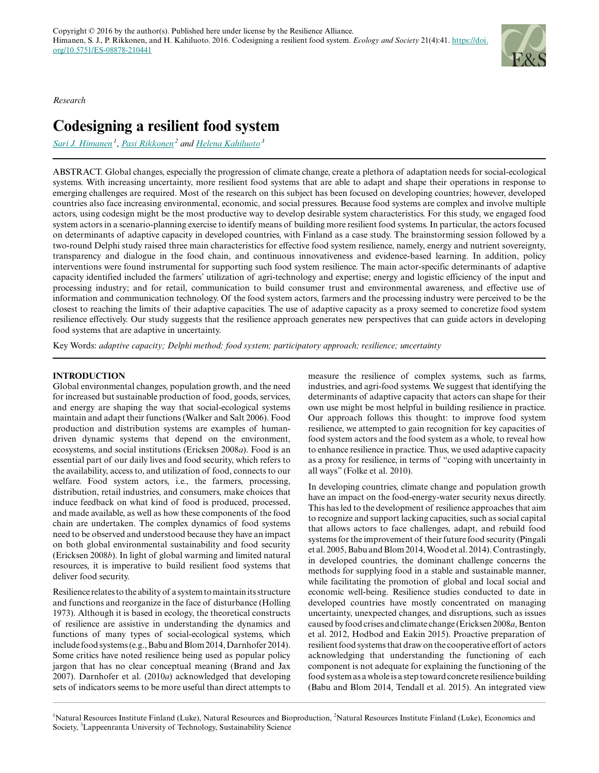

*Research*

# **Codesigning a resilient food system**

*[Sari J. Himanen](mailto:sari.himanen@luke.fi)<sup>1</sup>* , *[Pasi Rikkonen](mailto:pasi.rikkonen@luke.fi)<sup>2</sup> and [Helena Kahiluoto](mailto:helena.kahiluoto@lut.fi)<sup>3</sup>*

ABSTRACT. Global changes, especially the progression of climate change, create a plethora of adaptation needs for social-ecological systems. With increasing uncertainty, more resilient food systems that are able to adapt and shape their operations in response to emerging challenges are required. Most of the research on this subject has been focused on developing countries; however, developed countries also face increasing environmental, economic, and social pressures. Because food systems are complex and involve multiple actors, using codesign might be the most productive way to develop desirable system characteristics. For this study, we engaged food system actors in a scenario-planning exercise to identify means of building more resilient food systems. In particular, the actors focused on determinants of adaptive capacity in developed countries, with Finland as a case study. The brainstorming session followed by a two-round Delphi study raised three main characteristics for effective food system resilience, namely, energy and nutrient sovereignty, transparency and dialogue in the food chain, and continuous innovativeness and evidence-based learning. In addition, policy interventions were found instrumental for supporting such food system resilience. The main actor-specific determinants of adaptive capacity identified included the farmers' utilization of agri-technology and expertise; energy and logistic efficiency of the input and processing industry; and for retail, communication to build consumer trust and environmental awareness, and effective use of information and communication technology. Of the food system actors, farmers and the processing industry were perceived to be the closest to reaching the limits of their adaptive capacities. The use of adaptive capacity as a proxy seemed to concretize food system resilience effectively. Our study suggests that the resilience approach generates new perspectives that can guide actors in developing food systems that are adaptive in uncertainty.

Key Words: *adaptive capacity; Delphi method; food system; participatory approach; resilience; uncertainty*

## **INTRODUCTION**

Global environmental changes, population growth, and the need for increased but sustainable production of food, goods, services, and energy are shaping the way that social-ecological systems maintain and adapt their functions (Walker and Salt 2006). Food production and distribution systems are examples of humandriven dynamic systems that depend on the environment, ecosystems, and social institutions (Ericksen 2008*a*). Food is an essential part of our daily lives and food security, which refers to the availability, access to, and utilization of food, connects to our welfare. Food system actors, i.e., the farmers, processing, distribution, retail industries, and consumers, make choices that induce feedback on what kind of food is produced, processed, and made available, as well as how these components of the food chain are undertaken. The complex dynamics of food systems need to be observed and understood because they have an impact on both global environmental sustainability and food security (Ericksen 2008*b*). In light of global warming and limited natural resources, it is imperative to build resilient food systems that deliver food security.

Resilience relates to the ability of a system to maintain its structure and functions and reorganize in the face of disturbance (Holling 1973). Although it is based in ecology, the theoretical constructs of resilience are assistive in understanding the dynamics and functions of many types of social-ecological systems, which include food systems (e.g., Babu and Blom 2014, Darnhofer 2014). Some critics have noted resilience being used as popular policy jargon that has no clear conceptual meaning (Brand and Jax 2007). Darnhofer et al. (2010*a*) acknowledged that developing sets of indicators seems to be more useful than direct attempts to measure the resilience of complex systems, such as farms, industries, and agri-food systems. We suggest that identifying the determinants of adaptive capacity that actors can shape for their own use might be most helpful in building resilience in practice. Our approach follows this thought: to improve food system resilience, we attempted to gain recognition for key capacities of food system actors and the food system as a whole, to reveal how to enhance resilience in practice. Thus, we used adaptive capacity as a proxy for resilience, in terms of "coping with uncertainty in all ways" (Folke et al. 2010).

In developing countries, climate change and population growth have an impact on the food-energy-water security nexus directly. This has led to the development of resilience approaches that aim to recognize and support lacking capacities, such as social capital that allows actors to face challenges, adapt, and rebuild food systems for the improvement of their future food security (Pingali et al. 2005, Babu and Blom 2014, Wood et al. 2014). Contrastingly, in developed countries, the dominant challenge concerns the methods for supplying food in a stable and sustainable manner, while facilitating the promotion of global and local social and economic well-being. Resilience studies conducted to date in developed countries have mostly concentrated on managing uncertainty, unexpected changes, and disruptions, such as issues caused by food crises and climate change (Ericksen 2008*a*, Benton et al. 2012, Hodbod and Eakin 2015). Proactive preparation of resilient food systems that draw on the cooperative effort of actors acknowledging that understanding the functioning of each component is not adequate for explaining the functioning of the food system as a whole is a step toward concrete resilience building (Babu and Blom 2014, Tendall et al. 2015). An integrated view

<sup>1</sup>Natural Resources Institute Finland (Luke), Natural Resources and Bioproduction, <sup>2</sup>Natural Resources Institute Finland (Luke), Economics and Society, <sup>3</sup>Lappeenranta University of Technology, Sustainability Science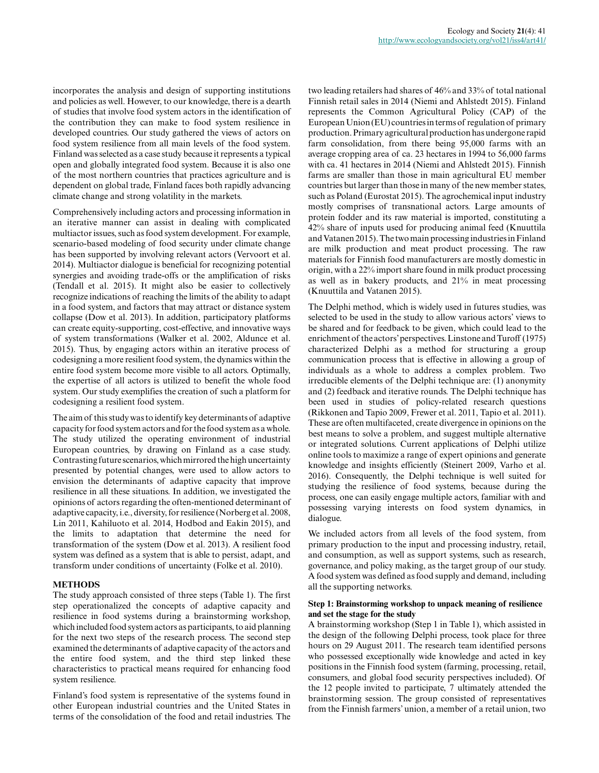incorporates the analysis and design of supporting institutions and policies as well. However, to our knowledge, there is a dearth of studies that involve food system actors in the identification of the contribution they can make to food system resilience in developed countries. Our study gathered the views of actors on food system resilience from all main levels of the food system. Finland was selected as a case study because it represents a typical open and globally integrated food system. Because it is also one of the most northern countries that practices agriculture and is dependent on global trade, Finland faces both rapidly advancing climate change and strong volatility in the markets.

Comprehensively including actors and processing information in an iterative manner can assist in dealing with complicated multiactor issues, such as food system development. For example, scenario-based modeling of food security under climate change has been supported by involving relevant actors (Vervoort et al. 2014). Multiactor dialogue is beneficial for recognizing potential synergies and avoiding trade-offs or the amplification of risks (Tendall et al. 2015). It might also be easier to collectively recognize indications of reaching the limits of the ability to adapt in a food system, and factors that may attract or distance system collapse (Dow et al. 2013). In addition, participatory platforms can create equity-supporting, cost-effective, and innovative ways of system transformations (Walker et al. 2002, Aldunce et al. 2015). Thus, by engaging actors within an iterative process of codesigning a more resilient food system, the dynamics within the entire food system become more visible to all actors. Optimally, the expertise of all actors is utilized to benefit the whole food system. Our study exemplifies the creation of such a platform for codesigning a resilient food system.

The aim of this study was to identify key determinants of adaptive capacity for food system actors and for the food system as a whole. The study utilized the operating environment of industrial European countries, by drawing on Finland as a case study. Contrasting future scenarios, which mirrored the high uncertainty presented by potential changes, were used to allow actors to envision the determinants of adaptive capacity that improve resilience in all these situations. In addition, we investigated the opinions of actors regarding the often-mentioned determinant of adaptive capacity, i.e., diversity, for resilience (Norberg et al. 2008, Lin 2011, Kahiluoto et al. 2014, Hodbod and Eakin 2015), and the limits to adaptation that determine the need for transformation of the system (Dow et al. 2013). A resilient food system was defined as a system that is able to persist, adapt, and transform under conditions of uncertainty (Folke et al. 2010).

## **METHODS**

The study approach consisted of three steps (Table 1). The first step operationalized the concepts of adaptive capacity and resilience in food systems during a brainstorming workshop, which included food system actors as participants, to aid planning for the next two steps of the research process. The second step examined the determinants of adaptive capacity of the actors and the entire food system, and the third step linked these characteristics to practical means required for enhancing food system resilience.

Finland's food system is representative of the systems found in other European industrial countries and the United States in terms of the consolidation of the food and retail industries. The two leading retailers had shares of 46% and 33% of total national Finnish retail sales in 2014 (Niemi and Ahlstedt 2015). Finland represents the Common Agricultural Policy (CAP) of the European Union (EU) countries in terms of regulation of primary production. Primary agricultural production has undergone rapid farm consolidation, from there being 95,000 farms with an average cropping area of ca. 23 hectares in 1994 to 56,000 farms with ca. 41 hectares in 2014 (Niemi and Ahlstedt 2015). Finnish farms are smaller than those in main agricultural EU member countries but larger than those in many of the new member states, such as Poland (Eurostat 2015). The agrochemical input industry mostly comprises of transnational actors. Large amounts of protein fodder and its raw material is imported, constituting a 42% share of inputs used for producing animal feed (Knuuttila and Vatanen 2015). The two main processing industries in Finland are milk production and meat product processing. The raw materials for Finnish food manufacturers are mostly domestic in origin, with a 22% import share found in milk product processing as well as in bakery products, and 21% in meat processing (Knuuttila and Vatanen 2015).

The Delphi method, which is widely used in futures studies, was selected to be used in the study to allow various actors' views to be shared and for feedback to be given, which could lead to the enrichment of the actors' perspectives. Linstone and Turoff (1975) characterized Delphi as a method for structuring a group communication process that is effective in allowing a group of individuals as a whole to address a complex problem. Two irreducible elements of the Delphi technique are: (1) anonymity and (2) feedback and iterative rounds. The Delphi technique has been used in studies of policy-related research questions (Rikkonen and Tapio 2009, Frewer et al. 2011, Tapio et al. 2011). These are often multifaceted, create divergence in opinions on the best means to solve a problem, and suggest multiple alternative or integrated solutions. Current applications of Delphi utilize online tools to maximize a range of expert opinions and generate knowledge and insights efficiently (Steinert 2009, Varho et al. 2016). Consequently, the Delphi technique is well suited for studying the resilience of food systems, because during the process, one can easily engage multiple actors, familiar with and possessing varying interests on food system dynamics, in dialogue.

We included actors from all levels of the food system, from primary production to the input and processing industry, retail, and consumption, as well as support systems, such as research, governance, and policy making, as the target group of our study. A food system was defined as food supply and demand, including all the supporting networks.

#### **Step 1: Brainstorming workshop to unpack meaning of resilience and set the stage for the study**

A brainstorming workshop (Step 1 in Table 1), which assisted in the design of the following Delphi process, took place for three hours on 29 August 2011. The research team identified persons who possessed exceptionally wide knowledge and acted in key positions in the Finnish food system (farming, processing, retail, consumers, and global food security perspectives included). Of the 12 people invited to participate, 7 ultimately attended the brainstorming session. The group consisted of representatives from the Finnish farmers' union, a member of a retail union, two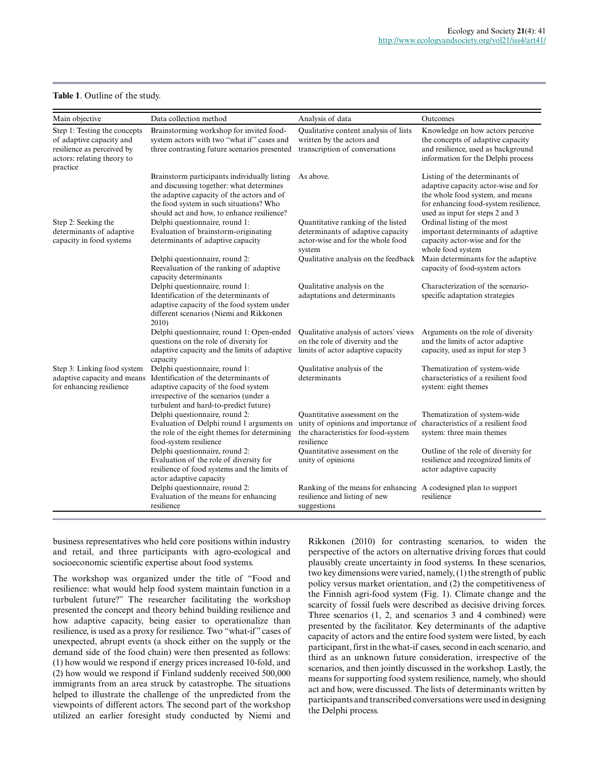## **Table 1**. Outline of the study.

| Main objective                                                                                                                   | Data collection method                                                                                                                                                                                                          | Analysis of data                                                                                                           | Outcomes                                                                                                                                                                               |
|----------------------------------------------------------------------------------------------------------------------------------|---------------------------------------------------------------------------------------------------------------------------------------------------------------------------------------------------------------------------------|----------------------------------------------------------------------------------------------------------------------------|----------------------------------------------------------------------------------------------------------------------------------------------------------------------------------------|
| Step 1: Testing the concepts<br>of adaptive capacity and<br>resilience as perceived by<br>actors: relating theory to<br>practice | Brainstorming workshop for invited food-<br>system actors with two "what if" cases and<br>three contrasting future scenarios presented                                                                                          | Qualitative content analysis of lists<br>written by the actors and<br>transcription of conversations                       | Knowledge on how actors perceive<br>the concepts of adaptive capacity<br>and resilience, used as background<br>information for the Delphi process                                      |
|                                                                                                                                  | Brainstorm participants individually listing<br>and discussing together: what determines<br>the adaptive capacity of the actors and of<br>the food system in such situations? Who<br>should act and how, to enhance resilience? | As above.                                                                                                                  | Listing of the determinants of<br>adaptive capacity actor-wise and for<br>the whole food system, and means<br>for enhancing food-system resilience,<br>used as input for steps 2 and 3 |
| Step 2: Seeking the<br>determinants of adaptive<br>capacity in food systems                                                      | Delphi questionnaire, round 1:<br>Evaluation of brainstorm-originating<br>determinants of adaptive capacity                                                                                                                     | Quantitative ranking of the listed<br>determinants of adaptive capacity<br>actor-wise and for the whole food<br>system     | Ordinal listing of the most<br>important determinants of adaptive<br>capacity actor-wise and for the<br>whole food system                                                              |
|                                                                                                                                  | Delphi questionnaire, round 2:<br>Reevaluation of the ranking of adaptive<br>capacity determinants                                                                                                                              | Qualitative analysis on the feedback                                                                                       | Main determinants for the adaptive<br>capacity of food-system actors                                                                                                                   |
|                                                                                                                                  | Delphi questionnaire, round 1:<br>Identification of the determinants of<br>adaptive capacity of the food system under<br>different scenarios (Niemi and Rikkonen<br>2010)                                                       | Qualitative analysis on the<br>adaptations and determinants                                                                | Characterization of the scenario-<br>specific adaptation strategies                                                                                                                    |
|                                                                                                                                  | Delphi questionnaire, round 1: Open-ended<br>questions on the role of diversity for<br>adaptive capacity and the limits of adaptive<br>capacity                                                                                 | Qualitative analysis of actors' views<br>on the role of diversity and the<br>limits of actor adaptive capacity             | Arguments on the role of diversity<br>and the limits of actor adaptive<br>capacity, used as input for step 3                                                                           |
| Step 3: Linking food system<br>adaptive capacity and means<br>for enhancing resilience                                           | Delphi questionnaire, round 1:<br>Identification of the determinants of<br>adaptive capacity of the food system<br>irrespective of the scenarios (under a<br>turbulent and hard-to-predict future)                              | Qualitative analysis of the<br>determinants                                                                                | Thematization of system-wide<br>characteristics of a resilient food<br>system: eight themes                                                                                            |
|                                                                                                                                  | Delphi questionnaire, round 2:<br>Evaluation of Delphi round 1 arguments on<br>the role of the eight themes for determining<br>food-system resilience                                                                           | Quantitative assessment on the<br>unity of opinions and importance of<br>the characteristics for food-system<br>resilience | Thematization of system-wide<br>characteristics of a resilient food<br>system: three main themes                                                                                       |
|                                                                                                                                  | Delphi questionnaire, round 2:<br>Evaluation of the role of diversity for<br>resilience of food systems and the limits of<br>actor adaptive capacity                                                                            | Quantitative assessment on the<br>unity of opinions                                                                        | Outline of the role of diversity for<br>resilience and recognized limits of<br>actor adaptive capacity                                                                                 |
|                                                                                                                                  | Delphi questionnaire, round 2:<br>Evaluation of the means for enhancing<br>resilience                                                                                                                                           | Ranking of the means for enhancing A codesigned plan to support<br>resilience and listing of new<br>suggestions            | resilience                                                                                                                                                                             |

business representatives who held core positions within industry and retail, and three participants with agro-ecological and socioeconomic scientific expertise about food systems.

The workshop was organized under the title of "Food and resilience: what would help food system maintain function in a turbulent future?" The researcher facilitating the workshop presented the concept and theory behind building resilience and how adaptive capacity, being easier to operationalize than resilience, is used as a proxy for resilience. Two "what-if" cases of unexpected, abrupt events (a shock either on the supply or the demand side of the food chain) were then presented as follows: (1) how would we respond if energy prices increased 10-fold, and (2) how would we respond if Finland suddenly received 500,000 immigrants from an area struck by catastrophe. The situations helped to illustrate the challenge of the unpredicted from the viewpoints of different actors. The second part of the workshop utilized an earlier foresight study conducted by Niemi and

Rikkonen (2010) for contrasting scenarios, to widen the perspective of the actors on alternative driving forces that could plausibly create uncertainty in food systems. In these scenarios, two key dimensions were varied, namely, (1) the strength of public policy versus market orientation, and (2) the competitiveness of the Finnish agri-food system (Fig. 1). Climate change and the scarcity of fossil fuels were described as decisive driving forces. Three scenarios (1, 2, and scenarios 3 and 4 combined) were presented by the facilitator. Key determinants of the adaptive capacity of actors and the entire food system were listed, by each participant, first in the what-if cases, second in each scenario, and third as an unknown future consideration, irrespective of the scenarios, and then jointly discussed in the workshop. Lastly, the means for supporting food system resilience, namely, who should act and how, were discussed. The lists of determinants written by participants and transcribed conversations were used in designing the Delphi process.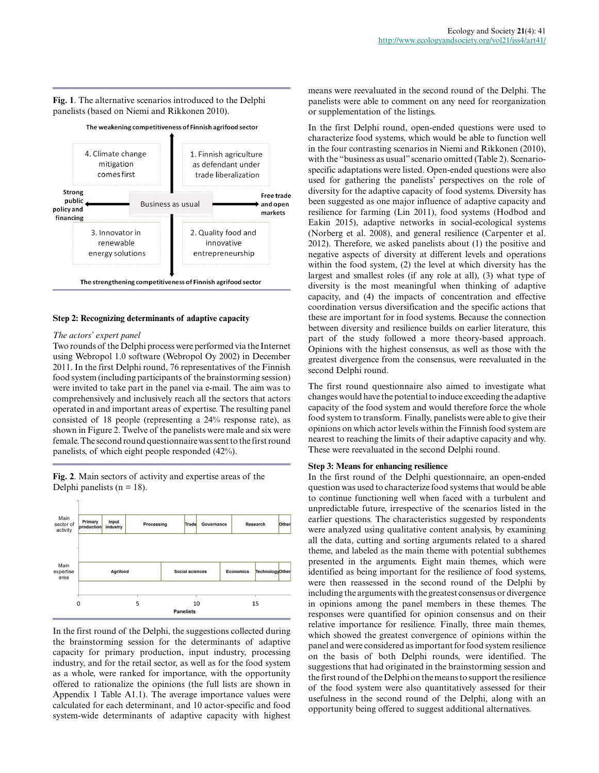## **Fig. 1**. The alternative scenarios introduced to the Delphi panelists (based on Niemi and Rikkonen 2010).



#### **Step 2: Recognizing determinants of adaptive capacity**

## *The actors' expert panel*

Two rounds of the Delphi process were performed via the Internet using Webropol 1.0 software (Webropol Oy 2002) in December 2011. In the first Delphi round, 76 representatives of the Finnish food system (including participants of the brainstorming session) were invited to take part in the panel via e-mail. The aim was to comprehensively and inclusively reach all the sectors that actors operated in and important areas of expertise. The resulting panel consisted of 18 people (representing a 24% response rate), as shown in Figure 2. Twelve of the panelists were male and six were female. The second round questionnaire was sent to the first round panelists, of which eight people responded (42%).

**Fig. 2**. Main sectors of activity and expertise areas of the Delphi panelists ( $n = 18$ ).



In the first round of the Delphi, the suggestions collected during the brainstorming session for the determinants of adaptive capacity for primary production, input industry, processing industry, and for the retail sector, as well as for the food system as a whole, were ranked for importance, with the opportunity offered to rationalize the opinions (the full lists are shown in Appendix 1 Table A1.1). The average importance values were calculated for each determinant, and 10 actor-specific and food system-wide determinants of adaptive capacity with highest means were reevaluated in the second round of the Delphi. The panelists were able to comment on any need for reorganization or supplementation of the listings.

In the first Delphi round, open-ended questions were used to characterize food systems, which would be able to function well in the four contrasting scenarios in Niemi and Rikkonen (2010), with the "business as usual" scenario omitted (Table 2). Scenariospecific adaptations were listed. Open-ended questions were also used for gathering the panelists' perspectives on the role of diversity for the adaptive capacity of food systems. Diversity has been suggested as one major influence of adaptive capacity and resilience for farming (Lin 2011), food systems (Hodbod and Eakin 2015), adaptive networks in social-ecological systems (Norberg et al. 2008), and general resilience (Carpenter et al. 2012). Therefore, we asked panelists about (1) the positive and negative aspects of diversity at different levels and operations within the food system, (2) the level at which diversity has the largest and smallest roles (if any role at all), (3) what type of diversity is the most meaningful when thinking of adaptive capacity, and (4) the impacts of concentration and effective coordination versus diversification and the specific actions that these are important for in food systems. Because the connection between diversity and resilience builds on earlier literature, this part of the study followed a more theory-based approach. Opinions with the highest consensus, as well as those with the greatest divergence from the consensus, were reevaluated in the second Delphi round.

The first round questionnaire also aimed to investigate what changes would have the potential to induce exceeding the adaptive capacity of the food system and would therefore force the whole food system to transform. Finally, panelists were able to give their opinions on which actor levels within the Finnish food system are nearest to reaching the limits of their adaptive capacity and why. These were reevaluated in the second Delphi round.

#### **Step 3: Means for enhancing resilience**

In the first round of the Delphi questionnaire, an open-ended question was used to characterize food systems that would be able to continue functioning well when faced with a turbulent and unpredictable future, irrespective of the scenarios listed in the earlier questions. The characteristics suggested by respondents were analyzed using qualitative content analysis, by examining all the data, cutting and sorting arguments related to a shared theme, and labeled as the main theme with potential subthemes presented in the arguments. Eight main themes, which were identified as being important for the resilience of food systems, were then reassessed in the second round of the Delphi by including the arguments with the greatest consensus or divergence in opinions among the panel members in these themes. The responses were quantified for opinion consensus and on their relative importance for resilience. Finally, three main themes, which showed the greatest convergence of opinions within the panel and were considered as important for food system resilience on the basis of both Delphi rounds, were identified. The suggestions that had originated in the brainstorming session and the first round of the Delphi on the means to support the resilience of the food system were also quantitatively assessed for their usefulness in the second round of the Delphi, along with an opportunity being offered to suggest additional alternatives.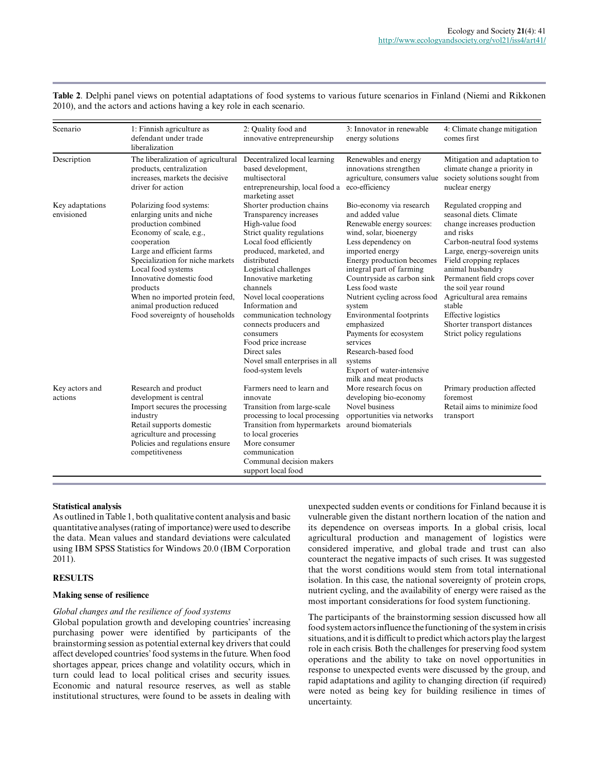**Table 2**. Delphi panel views on potential adaptations of food systems to various future scenarios in Finland (Niemi and Rikkonen 2010), and the actors and actions having a key role in each scenario.

| Scenario                      | 1: Finnish agriculture as<br>defendant under trade<br>liberalization                                                                                                                                                                                                                                                                                   | 2: Quality food and<br>innovative entrepreneurship                                                                                                                                                                                                                                                                                                                                                                                                     | 3: Innovator in renewable<br>energy solutions                                                                                                                                                                                                                                                                                                                                                                                                                            | 4: Climate change mitigation<br>comes first                                                                                                                                                                                                                                                                                                                                                         |
|-------------------------------|--------------------------------------------------------------------------------------------------------------------------------------------------------------------------------------------------------------------------------------------------------------------------------------------------------------------------------------------------------|--------------------------------------------------------------------------------------------------------------------------------------------------------------------------------------------------------------------------------------------------------------------------------------------------------------------------------------------------------------------------------------------------------------------------------------------------------|--------------------------------------------------------------------------------------------------------------------------------------------------------------------------------------------------------------------------------------------------------------------------------------------------------------------------------------------------------------------------------------------------------------------------------------------------------------------------|-----------------------------------------------------------------------------------------------------------------------------------------------------------------------------------------------------------------------------------------------------------------------------------------------------------------------------------------------------------------------------------------------------|
| Description                   | The liberalization of agricultural<br>products, centralization<br>increases, markets the decisive<br>driver for action                                                                                                                                                                                                                                 | Decentralized local learning<br>based development,<br>multisectoral<br>entrepreneurship, local food a<br>marketing asset                                                                                                                                                                                                                                                                                                                               | Renewables and energy<br>innovations strengthen<br>agriculture, consumers value<br>eco-efficiency                                                                                                                                                                                                                                                                                                                                                                        | Mitigation and adaptation to<br>climate change a priority in<br>society solutions sought from<br>nuclear energy                                                                                                                                                                                                                                                                                     |
| Key adaptations<br>envisioned | Polarizing food systems:<br>enlarging units and niche<br>production combined<br>Economy of scale, e.g.,<br>cooperation<br>Large and efficient farms<br>Specialization for niche markets<br>Local food systems<br>Innovative domestic food<br>products<br>When no imported protein feed,<br>animal production reduced<br>Food sovereignty of households | Shorter production chains<br>Transparency increases<br>High-value food<br>Strict quality regulations<br>Local food efficiently<br>produced, marketed, and<br>distributed<br>Logistical challenges<br>Innovative marketing<br>channels<br>Novel local cooperations<br>Information and<br>communication technology<br>connects producers and<br>consumers<br>Food price increase<br>Direct sales<br>Novel small enterprises in all<br>food-system levels | Bio-economy via research<br>and added value<br>Renewable energy sources:<br>wind, solar, bioenergy<br>Less dependency on<br>imported energy<br>Energy production becomes<br>integral part of farming<br>Countryside as carbon sink<br>Less food waste<br>Nutrient cycling across food<br>system<br>Environmental footprints<br>emphasized<br>Payments for ecosystem<br>services<br>Research-based food<br>systems<br>Export of water-intensive<br>milk and meat products | Regulated cropping and<br>seasonal diets. Climate<br>change increases production<br>and risks<br>Carbon-neutral food systems<br>Large, energy-sovereign units<br>Field cropping replaces<br>animal husbandry<br>Permanent field crops cover<br>the soil year round<br>Agricultural area remains<br>stable<br><b>Effective</b> logistics<br>Shorter transport distances<br>Strict policy regulations |
| Key actors and<br>actions     | Research and product<br>development is central<br>Import secures the processing<br>industry<br>Retail supports domestic<br>agriculture and processing<br>Policies and regulations ensure<br>competitiveness                                                                                                                                            | Farmers need to learn and<br>innovate<br>Transition from large-scale<br>processing to local processing<br>Transition from hypermarkets<br>to local groceries<br>More consumer<br>communication<br>Communal decision makers<br>support local food                                                                                                                                                                                                       | More research focus on<br>developing bio-economy<br>Novel business<br>opportunities via networks<br>around biomaterials                                                                                                                                                                                                                                                                                                                                                  | Primary production affected<br>foremost<br>Retail aims to minimize food<br>transport                                                                                                                                                                                                                                                                                                                |

## **Statistical analysis**

As outlined in Table 1, both qualitative content analysis and basic quantitative analyses (rating of importance) were used to describe the data. Mean values and standard deviations were calculated using IBM SPSS Statistics for Windows 20.0 (IBM Corporation 2011).

#### **RESULTS**

#### **Making sense of resilience**

## *Global changes and the resilience of food systems*

Global population growth and developing countries' increasing purchasing power were identified by participants of the brainstorming session as potential external key drivers that could affect developed countries' food systems in the future. When food shortages appear, prices change and volatility occurs, which in turn could lead to local political crises and security issues. Economic and natural resource reserves, as well as stable institutional structures, were found to be assets in dealing with

unexpected sudden events or conditions for Finland because it is vulnerable given the distant northern location of the nation and its dependence on overseas imports. In a global crisis, local agricultural production and management of logistics were considered imperative, and global trade and trust can also counteract the negative impacts of such crises. It was suggested that the worst conditions would stem from total international isolation. In this case, the national sovereignty of protein crops, nutrient cycling, and the availability of energy were raised as the most important considerations for food system functioning.

The participants of the brainstorming session discussed how all food system actors influence the functioning of the system in crisis situations, and it is difficult to predict which actors play the largest role in each crisis. Both the challenges for preserving food system operations and the ability to take on novel opportunities in response to unexpected events were discussed by the group, and rapid adaptations and agility to changing direction (if required) were noted as being key for building resilience in times of uncertainty.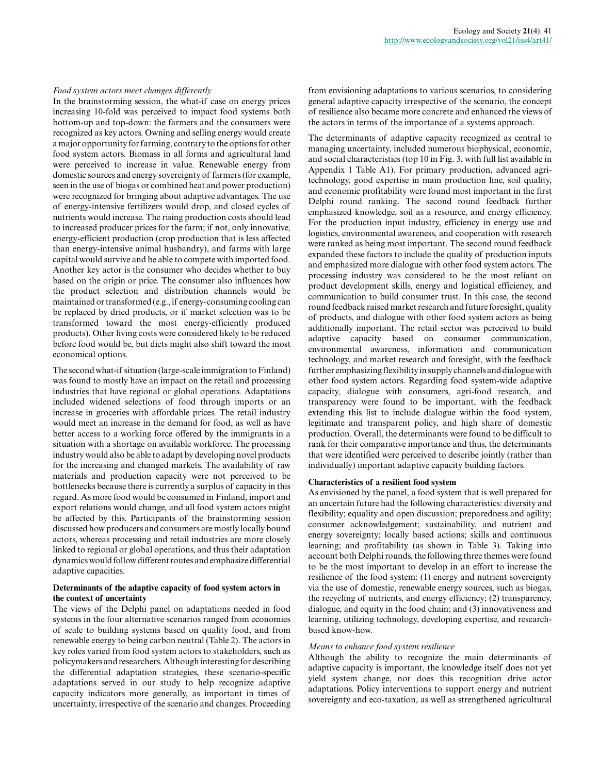#### *Food system actors meet changes differently*

In the brainstorming session, the what-if case on energy prices increasing 10-fold was perceived to impact food systems both bottom-up and top-down: the farmers and the consumers were recognized as key actors. Owning and selling energy would create a major opportunity for farming, contrary to the options for other food system actors. Biomass in all forms and agricultural land were perceived to increase in value. Renewable energy from domestic sources and energy sovereignty of farmers (for example, seen in the use of biogas or combined heat and power production) were recognized for bringing about adaptive advantages. The use of energy-intensive fertilizers would drop, and closed cycles of nutrients would increase. The rising production costs should lead to increased producer prices for the farm; if not, only innovative, energy-efficient production (crop production that is less affected than energy-intensive animal husbandry), and farms with large capital would survive and be able to compete with imported food. Another key actor is the consumer who decides whether to buy based on the origin or price. The consumer also influences how the product selection and distribution channels would be maintained or transformed (e.g., if energy-consuming cooling can be replaced by dried products, or if market selection was to be transformed toward the most energy-efficiently produced products). Other living costs were considered likely to be reduced before food would be, but diets might also shift toward the most economical options.

The second what-if situation (large-scale immigration to Finland) was found to mostly have an impact on the retail and processing industries that have regional or global operations. Adaptations included widened selections of food through imports or an increase in groceries with affordable prices. The retail industry would meet an increase in the demand for food, as well as have better access to a working force offered by the immigrants in a situation with a shortage on available workforce. The processing industry would also be able to adapt by developing novel products for the increasing and changed markets. The availability of raw materials and production capacity were not perceived to be bottlenecks because there is currently a surplus of capacity in this regard. As more food would be consumed in Finland, import and export relations would change, and all food system actors might be affected by this. Participants of the brainstorming session discussed how producers and consumers are mostly locally bound actors, whereas processing and retail industries are more closely linked to regional or global operations, and thus their adaptation dynamics would follow different routes and emphasize differential adaptive capacities.

## **Determinants of the adaptive capacity of food system actors in the context of uncertainty**

The views of the Delphi panel on adaptations needed in food systems in the four alternative scenarios ranged from economies of scale to building systems based on quality food, and from renewable energy to being carbon neutral (Table 2). The actors in key roles varied from food system actors to stakeholders, such as policymakers and researchers. Although interesting for describing the differential adaptation strategies, these scenario-specific adaptations served in our study to help recognize adaptive capacity indicators more generally, as important in times of uncertainty, irrespective of the scenario and changes. Proceeding

from envisioning adaptations to various scenarios, to considering general adaptive capacity irrespective of the scenario, the concept of resilience also became more concrete and enhanced the views of the actors in terms of the importance of a systems approach.

The determinants of adaptive capacity recognized as central to managing uncertainty, included numerous biophysical, economic, and social characteristics (top 10 in Fig. 3, with full list available in Appendix 1 Table A1). For primary production, advanced agritechnology, good expertise in main production line, soil quality, and economic profitability were found most important in the first Delphi round ranking. The second round feedback further emphasized knowledge, soil as a resource, and energy efficiency. For the production input industry, efficiency in energy use and logistics, environmental awareness, and cooperation with research were ranked as being most important. The second round feedback expanded these factors to include the quality of production inputs and emphasized more dialogue with other food system actors. The processing industry was considered to be the most reliant on product development skills, energy and logistical efficiency, and communication to build consumer trust. In this case, the second round feedback raised market research and future foresight, quality of products, and dialogue with other food system actors as being additionally important. The retail sector was perceived to build adaptive capacity based on consumer communication, environmental awareness, information and communication technology, and market research and foresight, with the feedback further emphasizing flexibility in supply channels and dialogue with other food system actors. Regarding food system-wide adaptive capacity, dialogue with consumers, agri-food research, and transparency were found to be important, with the feedback extending this list to include dialogue within the food system, legitimate and transparent policy, and high share of domestic production. Overall, the determinants were found to be difficult to rank for their comparative importance and thus, the determinants that were identified were perceived to describe jointly (rather than individually) important adaptive capacity building factors.

#### **Characteristics of a resilient food system**

As envisioned by the panel, a food system that is well prepared for an uncertain future had the following characteristics: diversity and flexibility; equality and open discussion; preparedness and agility; consumer acknowledgement; sustainability, and nutrient and energy sovereignty; locally based actions; skills and continuous learning; and profitability (as shown in Table 3). Taking into account both Delphi rounds, the following three themes were found to be the most important to develop in an effort to increase the resilience of the food system: (1) energy and nutrient sovereignty via the use of domestic, renewable energy sources, such as biogas, the recycling of nutrients, and energy efficiency; (2) transparency, dialogue, and equity in the food chain; and (3) innovativeness and learning, utilizing technology, developing expertise, and researchbased know-how.

## *Means to enhance food system resilience*

Although the ability to recognize the main determinants of adaptive capacity is important, the knowledge itself does not yet yield system change, nor does this recognition drive actor adaptations. Policy interventions to support energy and nutrient sovereignty and eco-taxation, as well as strengthened agricultural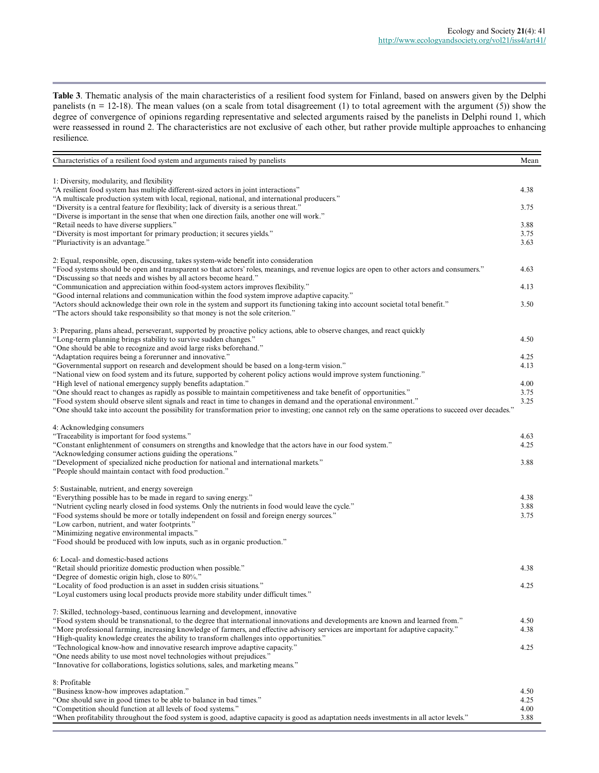**Table 3**. Thematic analysis of the main characteristics of a resilient food system for Finland, based on answers given by the Delphi panelists (n = 12-18). The mean values (on a scale from total disagreement (1) to total agreement with the argument (5)) show the degree of convergence of opinions regarding representative and selected arguments raised by the panelists in Delphi round 1, which were reassessed in round 2. The characteristics are not exclusive of each other, but rather provide multiple approaches to enhancing resilience.

| Characteristics of a resilient food system and arguments raised by panelists                                                                                                                                                                                           | Mean         |
|------------------------------------------------------------------------------------------------------------------------------------------------------------------------------------------------------------------------------------------------------------------------|--------------|
|                                                                                                                                                                                                                                                                        |              |
| 1: Diversity, modularity, and flexibility                                                                                                                                                                                                                              |              |
| "A resilient food system has multiple different-sized actors in joint interactions"                                                                                                                                                                                    | 4.38         |
| "A multiscale production system with local, regional, national, and international producers."                                                                                                                                                                          |              |
| "Diversity is a central feature for flexibility; lack of diversity is a serious threat."<br>"Diverse is important in the sense that when one direction fails, another one will work."                                                                                  | 3.75         |
| "Retail needs to have diverse suppliers."                                                                                                                                                                                                                              | 3.88         |
| "Diversity is most important for primary production; it secures yields."                                                                                                                                                                                               | 3.75         |
| "Pluriactivity is an advantage."                                                                                                                                                                                                                                       | 3.63         |
|                                                                                                                                                                                                                                                                        |              |
| 2: Equal, responsible, open, discussing, takes system-wide benefit into consideration                                                                                                                                                                                  |              |
| "Food systems should be open and transparent so that actors' roles, meanings, and revenue logics are open to other actors and consumers."                                                                                                                              | 4.63         |
| "Discussing so that needs and wishes by all actors become heard."                                                                                                                                                                                                      |              |
| "Communication and appreciation within food-system actors improves flexibility."                                                                                                                                                                                       | 4.13         |
| "Good internal relations and communication within the food system improve adaptive capacity."                                                                                                                                                                          |              |
| "Actors should acknowledge their own role in the system and support its functioning taking into account societal total benefit."                                                                                                                                       | 3.50         |
| "The actors should take responsibility so that money is not the sole criterion."                                                                                                                                                                                       |              |
|                                                                                                                                                                                                                                                                        |              |
| 3: Preparing, plans ahead, perseverant, supported by proactive policy actions, able to observe changes, and react quickly<br>"Long-term planning brings stability to survive sudden changes."                                                                          | 4.50         |
| "One should be able to recognize and avoid large risks beforehand."                                                                                                                                                                                                    |              |
| "Adaptation requires being a forerunner and innovative."                                                                                                                                                                                                               | 4.25         |
| "Governmental support on research and development should be based on a long-term vision."                                                                                                                                                                              | 4.13         |
| "National view on food system and its future, supported by coherent policy actions would improve system functioning."                                                                                                                                                  |              |
| "High level of national emergency supply benefits adaptation."                                                                                                                                                                                                         | 4.00         |
| "One should react to changes as rapidly as possible to maintain competitiveness and take benefit of opportunities."                                                                                                                                                    | 3.75         |
| "Food system should observe silent signals and react in time to changes in demand and the operational environment."                                                                                                                                                    | 3.25         |
| "One should take into account the possibility for transformation prior to investing; one cannot rely on the same operations to succeed over decades."                                                                                                                  |              |
|                                                                                                                                                                                                                                                                        |              |
| 4: Acknowledging consumers                                                                                                                                                                                                                                             |              |
| "Traceability is important for food systems."                                                                                                                                                                                                                          | 4.63         |
| "Constant enlightenment of consumers on strengths and knowledge that the actors have in our food system."                                                                                                                                                              | 4.25         |
| "Acknowledging consumer actions guiding the operations."                                                                                                                                                                                                               |              |
| "Development of specialized niche production for national and international markets."                                                                                                                                                                                  | 3.88         |
| "People should maintain contact with food production."                                                                                                                                                                                                                 |              |
| 5: Sustainable, nutrient, and energy sovereign                                                                                                                                                                                                                         |              |
| "Everything possible has to be made in regard to saving energy."                                                                                                                                                                                                       | 4.38         |
| "Nutrient cycling nearly closed in food systems. Only the nutrients in food would leave the cycle."                                                                                                                                                                    | 3.88         |
| "Food systems should be more or totally independent on fossil and foreign energy sources."                                                                                                                                                                             | 3.75         |
| "Low carbon, nutrient, and water footprints."                                                                                                                                                                                                                          |              |
| "Minimizing negative environmental impacts."                                                                                                                                                                                                                           |              |
| "Food should be produced with low inputs, such as in organic production."                                                                                                                                                                                              |              |
|                                                                                                                                                                                                                                                                        |              |
| 6: Local- and domestic-based actions                                                                                                                                                                                                                                   |              |
| "Retail should prioritize domestic production when possible."                                                                                                                                                                                                          | 4.38         |
| "Degree of domestic origin high, close to 80%."                                                                                                                                                                                                                        |              |
| "Locality of food production is an asset in sudden crisis situations."                                                                                                                                                                                                 | 4.25         |
| "Loyal customers using local products provide more stability under difficult times."                                                                                                                                                                                   |              |
|                                                                                                                                                                                                                                                                        |              |
| 7: Skilled, technology-based, continuous learning and development, innovative                                                                                                                                                                                          |              |
| "Food system should be transnational, to the degree that international innovations and developments are known and learned from."<br>"More professional farming, increasing knowledge of farmers, and effective advisory services are important for adaptive capacity." | 4.50<br>4.38 |
| "High-quality knowledge creates the ability to transform challenges into opportunities."                                                                                                                                                                               |              |
| "Technological know-how and innovative research improve adaptive capacity."                                                                                                                                                                                            | 4.25         |
| "One needs ability to use most novel technologies without prejudices."                                                                                                                                                                                                 |              |
| "Innovative for collaborations, logistics solutions, sales, and marketing means."                                                                                                                                                                                      |              |
|                                                                                                                                                                                                                                                                        |              |
| 8: Profitable                                                                                                                                                                                                                                                          |              |
| "Business know-how improves adaptation."                                                                                                                                                                                                                               | 4.50         |
| "One should save in good times to be able to balance in bad times."                                                                                                                                                                                                    | 4.25         |
| "Competition should function at all levels of food systems."                                                                                                                                                                                                           | 4.00         |
| "When profitability throughout the food system is good, adaptive capacity is good as adaptation needs investments in all actor levels."                                                                                                                                | 3.88         |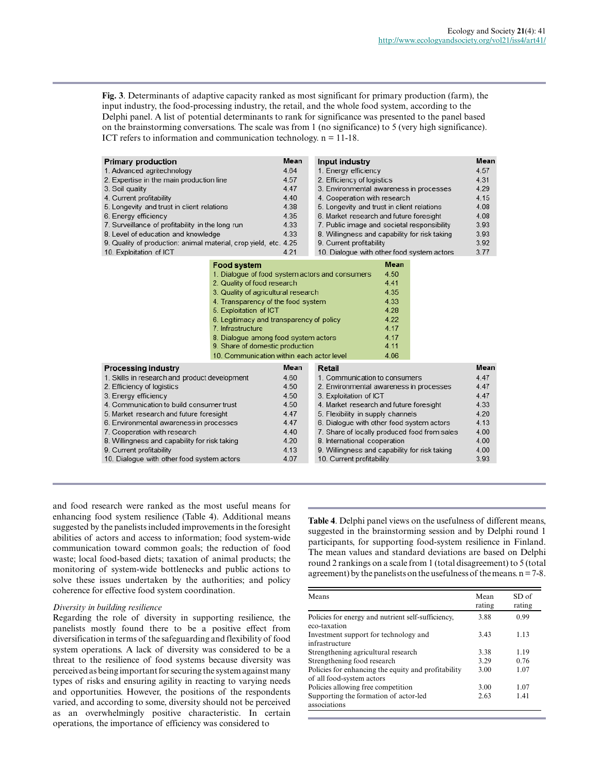**Fig. 3**. Determinants of adaptive capacity ranked as most significant for primary production (farm), the input industry, the food-processing industry, the retail, and the whole food system, according to the Delphi panel. A list of potential determinants to rank for significance was presented to the panel based on the brainstorming conversations. The scale was from 1 (no significance) to 5 (very high significance). ICT refers to information and communication technology. n = 11-18.

| <b>Primary production</b><br>1. Advanced agritechnology<br>2. Expertise in the main production line<br>3. Soil quality<br>4. Current profitability<br>5. Longevity and trust in client relations<br>6. Energy efficiency<br>7. Surveillance of profitability in the long run<br>8. Level of education and knowledge<br>9. Quality of production: animal material, crop yield, etc. 4.25<br>10. Exploitation of ICT             |                                                                                                                                                                                                                                                                                                                                                                                                      | Mean<br>4.64<br>4.57<br>4.47<br>4.40<br>4.38<br>4.35<br>4.33<br>4.33<br>4.21         | Input industry<br>1. Energy efficiency<br>2. Efficiency of logistics<br>3. Environmental awareness in processes<br>4. Cooperation with research<br>5. Longevity and trust in client relations<br>6. Market research and future foresight<br>7. Public image and societal responsibility<br>8. Willingness and capability for risk taking<br>9. Current profitability<br>10. Dialogue with other food system actors |                                                                                             | Mean<br>4.57<br>4.31<br>4.29<br>4.15<br>4.08<br>4.08<br>3.93<br>3.93<br>3.92<br>3.77 |
|--------------------------------------------------------------------------------------------------------------------------------------------------------------------------------------------------------------------------------------------------------------------------------------------------------------------------------------------------------------------------------------------------------------------------------|------------------------------------------------------------------------------------------------------------------------------------------------------------------------------------------------------------------------------------------------------------------------------------------------------------------------------------------------------------------------------------------------------|--------------------------------------------------------------------------------------|--------------------------------------------------------------------------------------------------------------------------------------------------------------------------------------------------------------------------------------------------------------------------------------------------------------------------------------------------------------------------------------------------------------------|---------------------------------------------------------------------------------------------|--------------------------------------------------------------------------------------|
|                                                                                                                                                                                                                                                                                                                                                                                                                                | <b>Food system</b><br>1. Dialoque of food system actors and consumers<br>2. Quality of food research<br>3. Quality of agricultural research<br>4. Transparency of the food system<br>5. Exploitation of ICT<br>6. Legitimacy and transparency of policy<br>7. Infrastructure<br>8. Dialogue among food system actors<br>9. Share of domestic production<br>10. Communication within each actor level |                                                                                      |                                                                                                                                                                                                                                                                                                                                                                                                                    | <b>Mean</b><br>4.50<br>4.41<br>4.35<br>4.33<br>4.28<br>4.22<br>4.17<br>4.17<br>4.11<br>4.06 |                                                                                      |
| <b>Processing industry</b><br>1. Skills in research and product development<br>2. Efficiency of logistics<br>3. Energy efficiency<br>4. Communication to build consumer trust<br>5. Market research and future foresight<br>6. Environmental awareness in processes<br>7. Cooperation with research<br>8. Willingness and capability for risk taking<br>9. Current profitability<br>10. Dialogue with other food system actors |                                                                                                                                                                                                                                                                                                                                                                                                      | Mean<br>4.60<br>4.50<br>4.50<br>4.50<br>4.47<br>4.47<br>4.40<br>4.20<br>4.13<br>4.07 | Retail<br>1. Communication to consumers<br>2. Environmental awareness in processes<br>3. Exploitation of ICT<br>4. Market research and future foresight<br>5. Flexibility in supply channels<br>6. Dialogue with other food system actors<br>7. Share of locally produced food from sales<br>8. International cooperation<br>9. Willingness and capability for risk taking<br>10. Current profitability            |                                                                                             | Mean<br>4.47<br>4.47<br>4.47<br>4.33<br>4.20<br>4.13<br>4.00<br>4.00<br>4.00<br>3.93 |

and food research were ranked as the most useful means for enhancing food system resilience (Table 4). Additional means suggested by the panelists included improvements in the foresight abilities of actors and access to information; food system-wide communication toward common goals; the reduction of food waste; local food-based diets; taxation of animal products; the monitoring of system-wide bottlenecks and public actions to solve these issues undertaken by the authorities; and policy coherence for effective food system coordination.

### *Diversity in building resilience*

Regarding the role of diversity in supporting resilience, the panelists mostly found there to be a positive effect from diversification in terms of the safeguarding and flexibility of food system operations. A lack of diversity was considered to be a threat to the resilience of food systems because diversity was perceived as being important for securing the system against many types of risks and ensuring agility in reacting to varying needs and opportunities. However, the positions of the respondents varied, and according to some, diversity should not be perceived as an overwhelmingly positive characteristic. In certain operations, the importance of efficiency was considered to

**Table 4**. Delphi panel views on the usefulness of different means, suggested in the brainstorming session and by Delphi round 1 participants, for supporting food-system resilience in Finland. The mean values and standard deviations are based on Delphi round 2 rankings on a scale from 1 (total disagreement) to 5 (total agreement) by the panelists on the usefulness of the means.  $n = 7-8$ .

| Means                                                                            | Mean<br>rating | SD of<br>rating |
|----------------------------------------------------------------------------------|----------------|-----------------|
| Policies for energy and nutrient self-sufficiency,<br>eco-taxation               | 3.88           | 0.99            |
| Investment support for technology and<br>infrastructure                          | 3.43           | 1.13            |
| Strengthening agricultural research                                              | 3.38           | 1.19            |
| Strengthening food research                                                      | 3.29           | 0.76            |
| Policies for enhancing the equity and profitability<br>of all food-system actors | 3.00           | 1.07            |
| Policies allowing free competition                                               | 3.00           | 1.07            |
| Supporting the formation of actor-led<br>associations                            | 2.63           | 1.41            |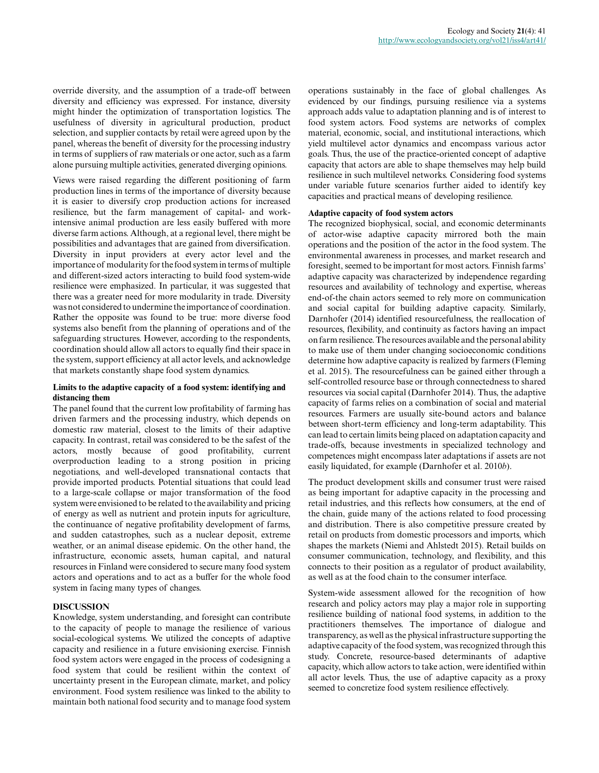override diversity, and the assumption of a trade-off between diversity and efficiency was expressed. For instance, diversity might hinder the optimization of transportation logistics. The usefulness of diversity in agricultural production, product selection, and supplier contacts by retail were agreed upon by the panel, whereas the benefit of diversity for the processing industry in terms of suppliers of raw materials or one actor, such as a farm alone pursuing multiple activities, generated diverging opinions.

Views were raised regarding the different positioning of farm production lines in terms of the importance of diversity because it is easier to diversify crop production actions for increased resilience, but the farm management of capital- and workintensive animal production are less easily buffered with more diverse farm actions. Although, at a regional level, there might be possibilities and advantages that are gained from diversification. Diversity in input providers at every actor level and the importance of modularity for the food system in terms of multiple and different-sized actors interacting to build food system-wide resilience were emphasized. In particular, it was suggested that there was a greater need for more modularity in trade. Diversity was not considered to undermine the importance of coordination. Rather the opposite was found to be true: more diverse food systems also benefit from the planning of operations and of the safeguarding structures. However, according to the respondents, coordination should allow all actors to equally find their space in the system, support efficiency at all actor levels, and acknowledge that markets constantly shape food system dynamics.

## **Limits to the adaptive capacity of a food system: identifying and distancing them**

The panel found that the current low profitability of farming has driven farmers and the processing industry, which depends on domestic raw material, closest to the limits of their adaptive capacity. In contrast, retail was considered to be the safest of the actors, mostly because of good profitability, current overproduction leading to a strong position in pricing negotiations, and well-developed transnational contacts that provide imported products. Potential situations that could lead to a large-scale collapse or major transformation of the food system were envisioned to be related to the availability and pricing of energy as well as nutrient and protein inputs for agriculture, the continuance of negative profitability development of farms, and sudden catastrophes, such as a nuclear deposit, extreme weather, or an animal disease epidemic. On the other hand, the infrastructure, economic assets, human capital, and natural resources in Finland were considered to secure many food system actors and operations and to act as a buffer for the whole food system in facing many types of changes.

## **DISCUSSION**

Knowledge, system understanding, and foresight can contribute to the capacity of people to manage the resilience of various social-ecological systems. We utilized the concepts of adaptive capacity and resilience in a future envisioning exercise. Finnish food system actors were engaged in the process of codesigning a food system that could be resilient within the context of uncertainty present in the European climate, market, and policy environment. Food system resilience was linked to the ability to maintain both national food security and to manage food system operations sustainably in the face of global challenges. As evidenced by our findings, pursuing resilience via a systems approach adds value to adaptation planning and is of interest to food system actors. Food systems are networks of complex material, economic, social, and institutional interactions, which yield multilevel actor dynamics and encompass various actor goals. Thus, the use of the practice-oriented concept of adaptive capacity that actors are able to shape themselves may help build resilience in such multilevel networks. Considering food systems under variable future scenarios further aided to identify key capacities and practical means of developing resilience.

## **Adaptive capacity of food system actors**

The recognized biophysical, social, and economic determinants of actor-wise adaptive capacity mirrored both the main operations and the position of the actor in the food system. The environmental awareness in processes, and market research and foresight, seemed to be important for most actors. Finnish farms' adaptive capacity was characterized by independence regarding resources and availability of technology and expertise, whereas end-of-the chain actors seemed to rely more on communication and social capital for building adaptive capacity. Similarly, Darnhofer (2014) identified resourcefulness, the reallocation of resources, flexibility, and continuity as factors having an impact on farm resilience. The resources available and the personal ability to make use of them under changing socioeconomic conditions determine how adaptive capacity is realized by farmers (Fleming et al. 2015). The resourcefulness can be gained either through a self-controlled resource base or through connectedness to shared resources via social capital (Darnhofer 2014). Thus, the adaptive capacity of farms relies on a combination of social and material resources. Farmers are usually site-bound actors and balance between short-term efficiency and long-term adaptability. This can lead to certain limits being placed on adaptation capacity and trade-offs, because investments in specialized technology and competences might encompass later adaptations if assets are not easily liquidated, for example (Darnhofer et al. 2010*b*).

The product development skills and consumer trust were raised as being important for adaptive capacity in the processing and retail industries, and this reflects how consumers, at the end of the chain, guide many of the actions related to food processing and distribution. There is also competitive pressure created by retail on products from domestic processors and imports, which shapes the markets (Niemi and Ahlstedt 2015). Retail builds on consumer communication, technology, and flexibility, and this connects to their position as a regulator of product availability, as well as at the food chain to the consumer interface.

System-wide assessment allowed for the recognition of how research and policy actors may play a major role in supporting resilience building of national food systems, in addition to the practitioners themselves. The importance of dialogue and transparency, as well as the physical infrastructure supporting the adaptive capacity of the food system, was recognized through this study. Concrete, resource-based determinants of adaptive capacity, which allow actors to take action, were identified within all actor levels. Thus, the use of adaptive capacity as a proxy seemed to concretize food system resilience effectively.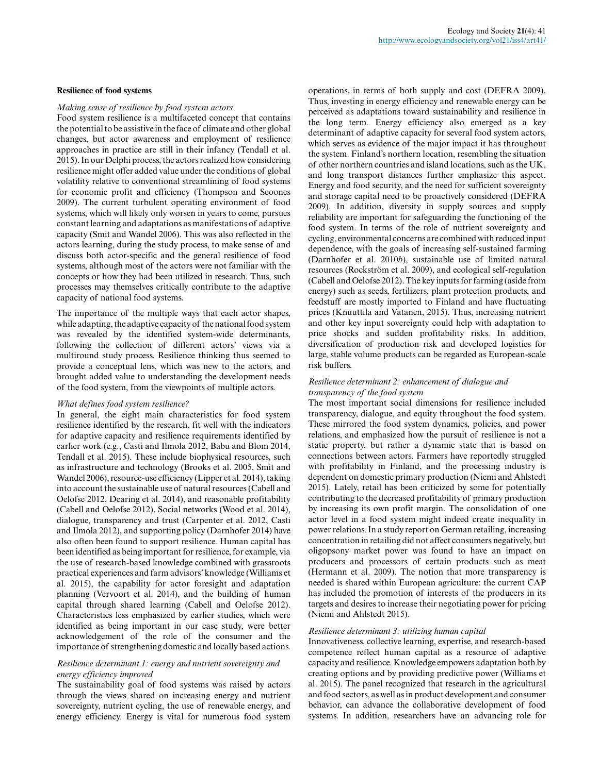#### **Resilience of food systems**

#### *Making sense of resilience by food system actors*

Food system resilience is a multifaceted concept that contains the potential to be assistive in the face of climate and other global changes, but actor awareness and employment of resilience approaches in practice are still in their infancy (Tendall et al. 2015). In our Delphi process, the actors realized how considering resilience might offer added value under the conditions of global volatility relative to conventional streamlining of food systems for economic profit and efficiency (Thompson and Scoones 2009). The current turbulent operating environment of food systems, which will likely only worsen in years to come, pursues constant learning and adaptations as manifestations of adaptive capacity (Smit and Wandel 2006). This was also reflected in the actors learning, during the study process, to make sense of and discuss both actor-specific and the general resilience of food systems, although most of the actors were not familiar with the concepts or how they had been utilized in research. Thus, such processes may themselves critically contribute to the adaptive capacity of national food systems.

The importance of the multiple ways that each actor shapes, while adapting, the adaptive capacity of the national food system was revealed by the identified system-wide determinants, following the collection of different actors' views via a multiround study process. Resilience thinking thus seemed to provide a conceptual lens, which was new to the actors, and brought added value to understanding the development needs of the food system, from the viewpoints of multiple actors.

#### *What defines food system resilience?*

In general, the eight main characteristics for food system resilience identified by the research, fit well with the indicators for adaptive capacity and resilience requirements identified by earlier work (e.g., Casti and Ilmola 2012, Babu and Blom 2014, Tendall et al. 2015). These include biophysical resources, such as infrastructure and technology (Brooks et al. 2005, Smit and Wandel 2006), resource-use efficiency (Lipper et al. 2014), taking into account the sustainable use of natural resources (Cabell and Oelofse 2012, Dearing et al. 2014), and reasonable profitability (Cabell and Oelofse 2012). Social networks (Wood et al. 2014), dialogue, transparency and trust (Carpenter et al. 2012, Casti and Ilmola 2012), and supporting policy (Darnhofer 2014) have also often been found to support resilience. Human capital has been identified as being important for resilience, for example, via the use of research-based knowledge combined with grassroots practical experiences and farm advisors' knowledge (Williams et al. 2015), the capability for actor foresight and adaptation planning (Vervoort et al. 2014), and the building of human capital through shared learning (Cabell and Oelofse 2012). Characteristics less emphasized by earlier studies, which were identified as being important in our case study, were better acknowledgement of the role of the consumer and the importance of strengthening domestic and locally based actions.

#### *Resilience determinant 1: energy and nutrient sovereignty and energy efficiency improved*

The sustainability goal of food systems was raised by actors through the views shared on increasing energy and nutrient sovereignty, nutrient cycling, the use of renewable energy, and energy efficiency. Energy is vital for numerous food system

operations, in terms of both supply and cost (DEFRA 2009). Thus, investing in energy efficiency and renewable energy can be perceived as adaptations toward sustainability and resilience in the long term. Energy efficiency also emerged as a key determinant of adaptive capacity for several food system actors, which serves as evidence of the major impact it has throughout the system. Finland's northern location, resembling the situation of other northern countries and island locations, such as the UK, and long transport distances further emphasize this aspect. Energy and food security, and the need for sufficient sovereignty and storage capital need to be proactively considered (DEFRA 2009). In addition, diversity in supply sources and supply reliability are important for safeguarding the functioning of the food system. In terms of the role of nutrient sovereignty and cycling, environmental concerns are combined with reduced input dependence, with the goals of increasing self-sustained farming (Darnhofer et al. 2010*b*), sustainable use of limited natural resources (Rockström et al. 2009), and ecological self-regulation (Cabell and Oelofse 2012). The key inputs for farming (aside from energy) such as seeds, fertilizers, plant protection products, and feedstuff are mostly imported to Finland and have fluctuating prices (Knuuttila and Vatanen, 2015). Thus, increasing nutrient and other key input sovereignty could help with adaptation to price shocks and sudden profitability risks. In addition, diversification of production risk and developed logistics for large, stable volume products can be regarded as European-scale risk buffers.

#### *Resilience determinant 2: enhancement of dialogue and transparency of the food system*

The most important social dimensions for resilience included transparency, dialogue, and equity throughout the food system. These mirrored the food system dynamics, policies, and power relations, and emphasized how the pursuit of resilience is not a static property, but rather a dynamic state that is based on connections between actors. Farmers have reportedly struggled with profitability in Finland, and the processing industry is dependent on domestic primary production (Niemi and Ahlstedt 2015). Lately, retail has been criticized by some for potentially contributing to the decreased profitability of primary production by increasing its own profit margin. The consolidation of one actor level in a food system might indeed create inequality in power relations. In a study report on German retailing, increasing concentration in retailing did not affect consumers negatively, but oligopsony market power was found to have an impact on producers and processors of certain products such as meat (Hermann et al. 2009). The notion that more transparency is needed is shared within European agriculture: the current CAP has included the promotion of interests of the producers in its targets and desires to increase their negotiating power for pricing (Niemi and Ahlstedt 2015).

#### *Resilience determinant 3: utilizing human capital*

Innovativeness, collective learning, expertise, and research-based competence reflect human capital as a resource of adaptive capacity and resilience. Knowledge empowers adaptation both by creating options and by providing predictive power (Williams et al. 2015). The panel recognized that research in the agricultural and food sectors, as well as in product development and consumer behavior, can advance the collaborative development of food systems. In addition, researchers have an advancing role for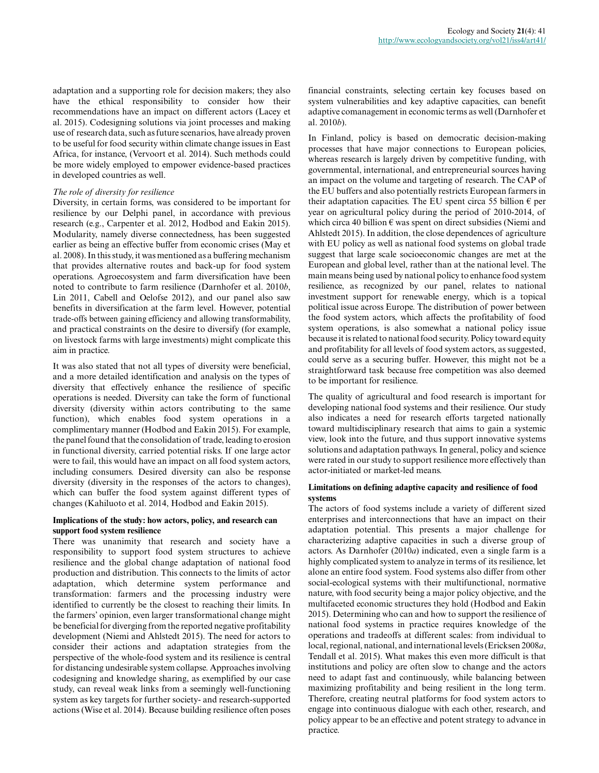adaptation and a supporting role for decision makers; they also have the ethical responsibility to consider how their recommendations have an impact on different actors (Lacey et al. 2015). Codesigning solutions via joint processes and making use of research data, such as future scenarios, have already proven to be useful for food security within climate change issues in East Africa, for instance, (Vervoort et al. 2014). Such methods could be more widely employed to empower evidence-based practices in developed countries as well.

## *The role of diversity for resilience*

Diversity, in certain forms, was considered to be important for resilience by our Delphi panel, in accordance with previous research (e.g., Carpenter et al. 2012, Hodbod and Eakin 2015). Modularity, namely diverse connectedness, has been suggested earlier as being an effective buffer from economic crises (May et al. 2008). In this study, it was mentioned as a buffering mechanism that provides alternative routes and back-up for food system operations. Agroecosystem and farm diversification have been noted to contribute to farm resilience (Darnhofer et al. 2010*b*, Lin 2011, Cabell and Oelofse 2012), and our panel also saw benefits in diversification at the farm level. However, potential trade-offs between gaining efficiency and allowing transformability, and practical constraints on the desire to diversify (for example, on livestock farms with large investments) might complicate this aim in practice.

It was also stated that not all types of diversity were beneficial, and a more detailed identification and analysis on the types of diversity that effectively enhance the resilience of specific operations is needed. Diversity can take the form of functional diversity (diversity within actors contributing to the same function), which enables food system operations in a complimentary manner (Hodbod and Eakin 2015). For example, the panel found that the consolidation of trade, leading to erosion in functional diversity, carried potential risks. If one large actor were to fail, this would have an impact on all food system actors, including consumers. Desired diversity can also be response diversity (diversity in the responses of the actors to changes), which can buffer the food system against different types of changes (Kahiluoto et al. 2014, Hodbod and Eakin 2015).

## **Implications of the study: how actors, policy, and research can support food system resilience**

There was unanimity that research and society have a responsibility to support food system structures to achieve resilience and the global change adaptation of national food production and distribution. This connects to the limits of actor adaptation, which determine system performance and transformation: farmers and the processing industry were identified to currently be the closest to reaching their limits. In the farmers' opinion, even larger transformational change might be beneficial for diverging from the reported negative profitability development (Niemi and Ahlstedt 2015). The need for actors to consider their actions and adaptation strategies from the perspective of the whole-food system and its resilience is central for distancing undesirable system collapse. Approaches involving codesigning and knowledge sharing, as exemplified by our case study, can reveal weak links from a seemingly well-functioning system as key targets for further society- and research-supported actions (Wise et al. 2014). Because building resilience often poses

financial constraints, selecting certain key focuses based on system vulnerabilities and key adaptive capacities, can benefit adaptive comanagement in economic terms as well (Darnhofer et al. 2010*b*).

In Finland, policy is based on democratic decision-making processes that have major connections to European policies, whereas research is largely driven by competitive funding, with governmental, international, and entrepreneurial sources having an impact on the volume and targeting of research. The CAP of the EU buffers and also potentially restricts European farmers in their adaptation capacities. The EU spent circa 55 billion  $\epsilon$  per year on agricultural policy during the period of 2010-2014, of which circa 40 billion  $\epsilon$  was spent on direct subsidies (Niemi and Ahlstedt 2015). In addition, the close dependences of agriculture with EU policy as well as national food systems on global trade suggest that large scale socioeconomic changes are met at the European and global level, rather than at the national level. The main means being used by national policy to enhance food system resilience, as recognized by our panel, relates to national investment support for renewable energy, which is a topical political issue across Europe. The distribution of power between the food system actors, which affects the profitability of food system operations, is also somewhat a national policy issue because it is related to national food security. Policy toward equity and profitability for all levels of food system actors, as suggested, could serve as a securing buffer. However, this might not be a straightforward task because free competition was also deemed to be important for resilience.

The quality of agricultural and food research is important for developing national food systems and their resilience. Our study also indicates a need for research efforts targeted nationally toward multidisciplinary research that aims to gain a systemic view, look into the future, and thus support innovative systems solutions and adaptation pathways. In general, policy and science were rated in our study to support resilience more effectively than actor-initiated or market-led means.

## **Limitations on defining adaptive capacity and resilience of food systems**

The actors of food systems include a variety of different sized enterprises and interconnections that have an impact on their adaptation potential. This presents a major challenge for characterizing adaptive capacities in such a diverse group of actors. As Darnhofer (2010*a*) indicated, even a single farm is a highly complicated system to analyze in terms of its resilience, let alone an entire food system. Food systems also differ from other social-ecological systems with their multifunctional, normative nature, with food security being a major policy objective, and the multifaceted economic structures they hold (Hodbod and Eakin 2015). Determining who can and how to support the resilience of national food systems in practice requires knowledge of the operations and tradeoffs at different scales: from individual to local, regional, national, and international levels (Ericksen 2008*a*, Tendall et al. 2015). What makes this even more difficult is that institutions and policy are often slow to change and the actors need to adapt fast and continuously, while balancing between maximizing profitability and being resilient in the long term. Therefore, creating neutral platforms for food system actors to engage into continuous dialogue with each other, research, and policy appear to be an effective and potent strategy to advance in practice.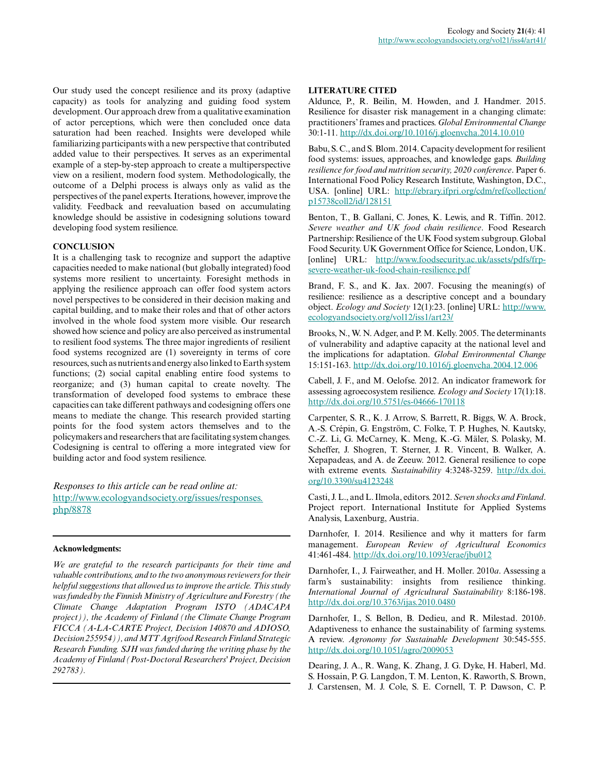Our study used the concept resilience and its proxy (adaptive capacity) as tools for analyzing and guiding food system development. Our approach drew from a qualitative examination of actor perceptions, which were then concluded once data saturation had been reached. Insights were developed while familiarizing participants with a new perspective that contributed added value to their perspectives. It serves as an experimental example of a step-by-step approach to create a multiperspective view on a resilient, modern food system. Methodologically, the outcome of a Delphi process is always only as valid as the perspectives of the panel experts. Iterations, however, improve the validity. Feedback and reevaluation based on accumulating knowledge should be assistive in codesigning solutions toward developing food system resilience.

## **CONCLUSION**

It is a challenging task to recognize and support the adaptive capacities needed to make national (but globally integrated) food systems more resilient to uncertainty. Foresight methods in applying the resilience approach can offer food system actors novel perspectives to be considered in their decision making and capital building, and to make their roles and that of other actors involved in the whole food system more visible. Our research showed how science and policy are also perceived as instrumental to resilient food systems. The three major ingredients of resilient food systems recognized are (1) sovereignty in terms of core resources, such as nutrients and energy also linked to Earth system functions; (2) social capital enabling entire food systems to reorganize; and (3) human capital to create novelty. The transformation of developed food systems to embrace these capacities can take different pathways and codesigning offers one means to mediate the change. This research provided starting points for the food system actors themselves and to the policymakers and researchers that are facilitating system changes. Codesigning is central to offering a more integrated view for building actor and food system resilience.

*Responses to this article can be read online at:* [http://www.ecologyandsociety.org/issues/responses.](http://www.ecologyandsociety.org/issues/responses.php/8878) [php/8878](http://www.ecologyandsociety.org/issues/responses.php/8878)

#### **Acknowledgments:**

*We are grateful to the research participants for their time and valuable contributions, and to the two anonymous reviewers for their helpful suggestions that allowed us to improve the article. This study was funded by the Finnish Ministry of Agriculture and Forestry (the Climate Change Adaptation Program ISTO (ADACAPA project)), the Academy of Finland (the Climate Change Program FICCA (A-LA-CARTE Project, Decision 140870 and ADIOSO, Decision 255954)), and MTT Agrifood Research Finland Strategic Research Funding. SJH was funded during the writing phase by the Academy of Finland (Post-Doctoral Researchers' Project, Decision 292783).*

#### **LITERATURE CITED**

Aldunce, P., R. Beilin, M. Howden, and J. Handmer. 2015. Resilience for disaster risk management in a changing climate: practitioners' frames and practices. *Global Environmental Change* 30:1-11. [http://dx.doi.org/10.1016/j.gloenvcha.2014.10.010](http://dx.doi.org/10.1016%2Fj.gloenvcha.2014.10.010) 

Babu, S. C., and S. Blom. 2014. Capacity development for resilient food systems: issues, approaches, and knowledge gaps. *Building resilience for food and nutrition security, 2020 conference*. Paper 6. International Food Policy Research Institute, Washington, D.C., USA. [online] URL: [http://ebrary.ifpri.org/cdm/ref/collection/](http://ebrary.ifpri.org/cdm/ref/collection/p15738coll2/id/128151) [p15738coll2/id/128151](http://ebrary.ifpri.org/cdm/ref/collection/p15738coll2/id/128151)

Benton, T., B. Gallani, C. Jones, K. Lewis, and R. Tiffin. 2012. *Severe weather and UK food chain resilience*. Food Research Partnership: Resilience of the UK Food system subgroup. Global Food Security. UK Government Office for Science, London, UK. [online] URL: [http://www.foodsecurity.ac.uk/assets/pdfs/frp](http://www.foodsecurity.ac.uk/assets/pdfs/frp-severe-weather-uk-food-chain-resilience.pdf)[severe-weather-uk-food-chain-resilience.pdf](http://www.foodsecurity.ac.uk/assets/pdfs/frp-severe-weather-uk-food-chain-resilience.pdf)

Brand, F. S., and K. Jax. 2007. Focusing the meaning(s) of resilience: resilience as a descriptive concept and a boundary object. *Ecology and Society* 12(1):23. [online] URL: [http://www.](http://www.ecologyandsociety.org/vol12/iss1/art23/) [ecologyandsociety.org/vol12/iss1/art23/](http://www.ecologyandsociety.org/vol12/iss1/art23/)

Brooks, N., W. N. Adger, and P. M. Kelly. 2005. The determinants of vulnerability and adaptive capacity at the national level and the implications for adaptation. *Global Environmental Change* 15:151-163. [http://dx.doi.org/10.1016/j.gloenvcha.2004.12.006](http://dx.doi.org/10.1016%2Fj.gloenvcha.2004.12.006)

Cabell, J. F., and M. Oelofse. 2012. An indicator framework for assessing agroecosystem resilience. *Ecology and Society* 17(1):18. [http://dx.doi.org/10.5751/es-04666-170118](http://dx.doi.org/10.5751%2Fes-04666-170118)

Carpenter, S. R., K. J. Arrow, S. Barrett, R. Biggs, W. A. Brock, A.-S. Crépin, G. Engström, C. Folke, T. P. Hughes, N. Kautsky, C.-Z. Li, G. McCarney, K. Meng, K.-G. Mäler, S. Polasky, M. Scheffer, J. Shogren, T. Sterner, J. R. Vincent, B. Walker, A. Xepapadeas, and A. de Zeeuw. 2012. General resilience to cope with extreme events. *Sustainability* 4:3248-3259. [http://dx.doi.](http://dx.doi.org/10.3390%2Fsu4123248) [org/10.3390/su4123248](http://dx.doi.org/10.3390%2Fsu4123248)

Casti, J. L., and L. Ilmola, editors. 2012. *Seven shocks and Finland*. Project report. International Institute for Applied Systems Analysis, Laxenburg, Austria.

Darnhofer, I. 2014. Resilience and why it matters for farm management. *European Review of Agricultural Economics* 41:461-484. [http://dx.doi.org/10.1093/erae/jbu012](http://dx.doi.org/10.1093%2Ferae%2Fjbu012)

Darnhofer, I., J. Fairweather, and H. Moller. 2010*a*. Assessing a farm's sustainability: insights from resilience thinking. *International Journal of Agricultural Sustainability* 8:186-198. [http://dx.doi.org/10.3763/ijas.2010.0480](http://dx.doi.org/10.3763%2Fijas.2010.0480)

Darnhofer, I., S. Bellon, B. Dedieu, and R. Milestad. 2010*b*. Adaptiveness to enhance the sustainability of farming systems. A review. *Agronomy for Sustainable Development* 30:545-555. [http://dx.doi.org/10.1051/agro/2009053](http://dx.doi.org/10.1051%2Fagro%2F2009053)

Dearing, J. A., R. Wang, K. Zhang, J. G. Dyke, H. Haberl, Md. S. Hossain, P. G. Langdon, T. M. Lenton, K. Raworth, S. Brown, J. Carstensen, M. J. Cole, S. E. Cornell, T. P. Dawson, C. P.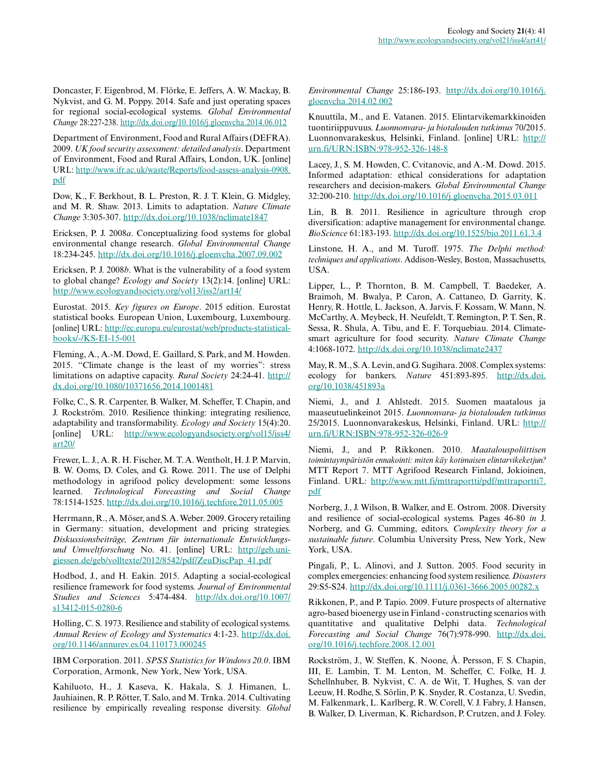Doncaster, F. Eigenbrod, M. Flörke, E. Jeffers, A. W. Mackay, B. Nykvist, and G. M. Poppy. 2014. Safe and just operating spaces for regional social-ecological systems. *Global Environmental Change* 28:227-238. [http://dx.doi.org/10.1016/j.gloenvcha.2014.06.012](http://dx.doi.org/10.1016%2Fj.gloenvcha.2014.06.012) 

Department of Environment, Food and Rural Affairs (DEFRA). 2009. *UK food security assessment: detailed analysis*. Department of Environment, Food and Rural Affairs, London, UK. [online] URL: [http://www.ifr.ac.uk/waste/Reports/food-assess-analysis-0908.](http://www.ifr.ac.uk/waste/Reports/food-assess-analysis-0908.pdf) [pdf](http://www.ifr.ac.uk/waste/Reports/food-assess-analysis-0908.pdf)

Dow, K., F. Berkhout, B. L. Preston, R. J. T. Klein, G. Midgley, and M. R. Shaw. 2013. Limits to adaptation. *Nature Climate Change* 3:305-307. [http://dx.doi.org/10.1038/nclimate1847](http://dx.doi.org/10.1038%2Fnclimate1847) 

Ericksen, P. J. 2008*a*. Conceptualizing food systems for global environmental change research. *Global Environmental Change* 18:234-245. [http://dx.doi.org/10.1016/j.gloenvcha.2007.09.002](http://dx.doi.org/10.1016%2Fj.gloenvcha.2007.09.002)

Ericksen, P. J. 2008*b*. What is the vulnerability of a food system to global change? *Ecology and Society* 13(2):14. [online] URL: <http://www.ecologyandsociety.org/vol13/iss2/art14/>

Eurostat. 2015. *Key figures on Europe*. 2015 edition. Eurostat statistical books. European Union, Luxembourg, Luxembourg. [online] URL: [http://ec.europa.eu/eurostat/web/products-statistical](http://ec.europa.eu/eurostat/web/products-statistical-books/-/KS-EI-15-001)[books/-/KS-EI-15-001](http://ec.europa.eu/eurostat/web/products-statistical-books/-/KS-EI-15-001) 

Fleming, A., A.-M. Dowd, E. Gaillard, S. Park, and M. Howden. 2015. "Climate change is the least of my worries": stress limitations on adaptive capacity. *Rural Society* 24:24-41. [http://](http://dx.doi.org/10.1080%2F10371656.2014.1001481) [dx.doi.org/10.1080/10371656.2014.1001481](http://dx.doi.org/10.1080%2F10371656.2014.1001481)

Folke, C., S. R. Carpenter, B. Walker, M. Scheffer, T. Chapin, and J. Rockström. 2010. Resilience thinking: integrating resilience, adaptability and transformability. *Ecology and Society* 15(4):20. [online] URL: [http://www.ecologyandsociety.org/vol15/iss4/](http://www.ecologyandsociety.org/vol15/iss4/art20/) [art20/](http://www.ecologyandsociety.org/vol15/iss4/art20/)

Frewer, L. J., A. R. H. Fischer, M. T. A. Wentholt, H. J. P. Marvin, B. W. Ooms, D. Coles, and G. Rowe. 2011. The use of Delphi methodology in agrifood policy development: some lessons learned. *Technological Forecasting and Social Change* 78:1514-1525. [http://dx.doi.org/10.1016/j.techfore.2011.05.005](http://dx.doi.org/10.1016%2Fj.techfore.2011.05.005)

Herrmann, R., A. Möser, and S. A. Weber. 2009. Grocery retailing in Germany: situation, development and pricing strategies. *Diskussionsbeiträge, Zentrum für internationale Entwicklungsund Umweltforschung* No. 41. [online] URL: [http://geb.uni](http://geb.uni-giessen.de/geb/volltexte/2012/8542/pdf/ZeuDiscPap_41.pdf)[giessen.de/geb/volltexte/2012/8542/pdf/ZeuDiscPap\\_41.pdf](http://geb.uni-giessen.de/geb/volltexte/2012/8542/pdf/ZeuDiscPap_41.pdf)

Hodbod, J., and H. Eakin. 2015. Adapting a social-ecological resilience framework for food systems. *Journal of Environmental Studies and Sciences* 5:474-484. [http://dx.doi.org/10.1007/](http://dx.doi.org/10.1007%2Fs13412-015-0280-6) [s13412-015-0280-6](http://dx.doi.org/10.1007%2Fs13412-015-0280-6) 

Holling, C. S. 1973. Resilience and stability of ecological systems. *Annual Review of Ecology and Systematics* 4:1-23. [http://dx.doi.](http://dx.doi.org/10.1146%2Fannurev.es.04.110173.000245) [org/10.1146/annurev.es.04.110173.000245](http://dx.doi.org/10.1146%2Fannurev.es.04.110173.000245) 

IBM Corporation. 2011. *SPSS Statistics for Windows 20.0*. IBM Corporation, Armonk, New York, New York, USA.

Kahiluoto, H., J. Kaseva, K. Hakala, S. J. Himanen, L. Jauhiainen, R. P. Rötter, T. Salo, and M. Trnka. 2014. Cultivating resilience by empirically revealing response diversity. *Global* *Environmental Change* 25:186-193. [http://dx.doi.org/10.1016/j.](http://dx.doi.org/10.1016%2Fj.gloenvcha.2014.02.002) [gloenvcha.2014.02.002](http://dx.doi.org/10.1016%2Fj.gloenvcha.2014.02.002)

Knuuttila, M., and E. Vatanen. 2015. Elintarvikemarkkinoiden tuontiriippuvuus. *Luonnonvara- ja biotalouden tutkimus* 70/2015. Luonnonvarakeskus, Helsinki, Finland. [online] URL: [http://](http://urn.fi/URN:ISBN:978-952-326-148-8) [urn.fi/URN:ISBN:978-952-326-148-8](http://urn.fi/URN:ISBN:978-952-326-148-8) 

Lacey, J., S. M. Howden, C. Cvitanovic, and A.-M. Dowd. 2015. Informed adaptation: ethical considerations for adaptation researchers and decision-makers. *Global Environmental Change* 32:200-210. [http://dx.doi.org/10.1016/j.gloenvcha.2015.03.011](http://dx.doi.org/10.1016%2Fj.gloenvcha.2015.03.011)

Lin, B. B. 2011. Resilience in agriculture through crop diversification: adaptive management for environmental change. *BioScience* 61:183-193. [http://dx.doi.org/10.1525/bio.2011.61.3.4](http://dx.doi.org/10.1525%2Fbio.2011.61.3.4) 

Linstone, H. A., and M. Turoff. 1975. *The Delphi method: techniques and applications*. Addison-Wesley, Boston, Massachusetts, USA.

Lipper, L., P. Thornton, B. M. Campbell, T. Baedeker, A. Braimoh, M. Bwalya, P. Caron, A. Cattaneo, D. Garrity, K. Henry, R. Hottle, L. Jackson, A. Jarvis, F. Kossam, W. Mann, N. McCarthy, A. Meybeck, H. Neufeldt, T. Remington, P. T. Sen, R. Sessa, R. Shula, A. Tibu, and E. F. Torquebiau. 2014. Climatesmart agriculture for food security. *Nature Climate Change* 4:1068-1072. [http://dx.doi.org/10.1038/nclimate2437](http://dx.doi.org/10.1038%2Fnclimate2437)

May, R. M., S. A. Levin, and G. Sugihara. 2008. Complex systems: ecology for bankers. *Nature* 451:893-895. [http://dx.doi.](http://dx.doi.org/10.1038%2F451893a) [org/10.1038/451893a](http://dx.doi.org/10.1038%2F451893a) 

Niemi, J., and J. Ahlstedt. 2015. Suomen maatalous ja maaseutuelinkeinot 2015. *Luonnonvara- ja biotalouden tutkimus* 25/2015. Luonnonvarakeskus, Helsinki, Finland. URL: [http://](http://urn.fi/URN:ISBN:978-952-326-026-9) [urn.fi/URN:ISBN:978-952-326-026-9](http://urn.fi/URN:ISBN:978-952-326-026-9) 

Niemi, J., and P. Rikkonen. 2010. *Maatalouspoliittisen toimintaympäristön ennakointi: miten käy kotimaisen elintarvikeketjun?* MTT Report 7. MTT Agrifood Research Finland, Jokioinen, Finland. URL: [http://www.mtt.fi/mttraportti/pdf/mttraportti7.](http://www.mtt.fi/mttraportti/pdf/mttraportti7.pdf) [pdf](http://www.mtt.fi/mttraportti/pdf/mttraportti7.pdf)

Norberg, J., J. Wilson, B. Walker, and E. Ostrom. 2008. Diversity and resilience of social-ecological systems. Pages 46-80 *in* J. Norberg, and G. Cumming, editors. *Complexity theory for a sustainable future*. Columbia University Press, New York, New York, USA.

Pingali, P., L. Alinovi, and J. Sutton. 2005. Food security in complex emergencies: enhancing food system resilience. *Disasters* 29:S5-S24. [http://dx.doi.org/10.1111/j.0361-3666.2005.00282.x](http://dx.doi.org/10.1111%2Fj.0361-3666.2005.00282.x)

Rikkonen, P., and P. Tapio. 2009. Future prospects of alternative agro-based bioenergy use in Finland - constructing scenarios with quantitative and qualitative Delphi data. *Technological Forecasting and Social Change* 76(7):978-990. [http://dx.doi.](http://dx.doi.org/10.1016%2Fj.techfore.2008.12.001) [org/10.1016/j.techfore.2008.12.001](http://dx.doi.org/10.1016%2Fj.techfore.2008.12.001)

Rockström, J., W. Steffen, K. Noone, Å. Persson, F. S. Chapin, III, E. Lambin, T. M. Lenton, M. Scheffer, C. Folke, H. J. Schellnhuber, B. Nykvist, C. A. de Wit, T. Hughes, S. van der Leeuw, H. Rodhe, S. Sörlin, P. K. Snyder, R. Costanza, U. Svedin, M. Falkenmark, L. Karlberg, R. W. Corell, V. J. Fabry, J. Hansen, B. Walker, D. Liverman, K. Richardson, P. Crutzen, and J. Foley.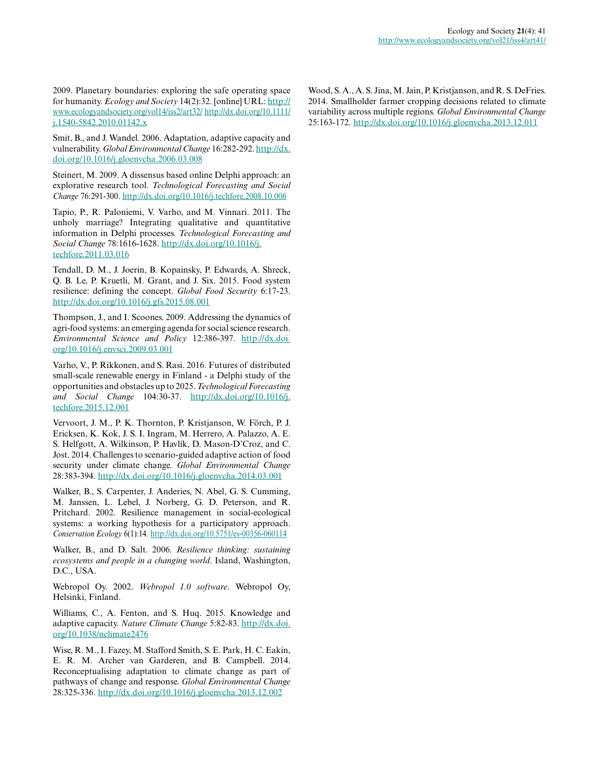2009. Planetary boundaries: exploring the safe operating space for humanity. *Ecology and Society* 14(2):32. [online] URL: [http://](http://www.ecologyandsociety.org/vol14/iss2/art32/) [www.ecologyandsociety.org/vol14/iss2/art32/](http://www.ecologyandsociety.org/vol14/iss2/art32/) [http://dx.doi.org/10.1111/](http://dx.doi.org/10.1111%2Fj.1540-5842.2010.01142.x) [j.1540-5842.2010.01142.x](http://dx.doi.org/10.1111%2Fj.1540-5842.2010.01142.x)

Smit, B., and J. Wandel. 2006. Adaptation, adaptive capacity and vulnerability. *Global Environmental Change* 16:282-292. [http://dx.](http://dx.doi.org/10.1016%2Fj.gloenvcha.2006.03.008) [doi.org/10.1016/j.gloenvcha.2006.03.008](http://dx.doi.org/10.1016%2Fj.gloenvcha.2006.03.008) 

Steinert, M. 2009. A dissensus based online Delphi approach: an explorative research tool. *Technological Forecasting and Social Change* 76:291-300. [http://dx.doi.org/10.1016/j.techfore.2008.10.006](http://dx.doi.org/10.1016%2Fj.techfore.2008.10.006) 

Tapio, P., R. Paloniemi, V. Varho, and M. Vinnari. 2011. The unholy marriage? Integrating qualitative and quantitative information in Delphi processes. *Technological Forecasting and Social Change* 78:1616-1628. [http://dx.doi.org/10.1016/j.](http://dx.doi.org/10.1016%2Fj.techfore.2011.03.016) [techfore.2011.03.016](http://dx.doi.org/10.1016%2Fj.techfore.2011.03.016)

Tendall, D. M., J. Joerin, B. Kopainsky, P. Edwards, A. Shreck, Q. B. Le, P. Kruetli, M. Grant, and J. Six. 2015. Food system resilience: defining the concept. *Global Food Security* 6:17-23. [http://dx.doi.org/10.1016/j.gfs.2015.08.001](http://dx.doi.org/10.1016%2Fj.gfs.2015.08.001)

Thompson, J., and I. Scoones. 2009. Addressing the dynamics of agri-food systems: an emerging agenda for social science research. *Environmental Science and Policy* 12:386-397. [http://dx.doi.](http://dx.doi.org/10.1016%2Fj.envsci.2009.03.001) [org/10.1016/j.envsci.2009.03.001](http://dx.doi.org/10.1016%2Fj.envsci.2009.03.001) 

Varho, V., P. Rikkonen, and S. Rasi. 2016. Futures of distributed small-scale renewable energy in Finland - a Delphi study of the opportunities and obstacles up to 2025. *Technological Forecasting and Social Change* 104:30-37. [http://dx.doi.org/10.1016/j.](http://dx.doi.org/10.1016%2Fj.techfore.2015.12.001) [techfore.2015.12.001](http://dx.doi.org/10.1016%2Fj.techfore.2015.12.001)

Vervoort, J. M., P. K. Thornton, P. Kristjanson, W. Förch, P. J. Ericksen, K. Kok, J. S. I. Ingram, M. Herrero, A. Palazzo, A. E. S. Helfgott, A. Wilkinson, P. Havlík, D. Mason-D'Croz, and C. Jost. 2014. Challenges to scenario-guided adaptive action of food security under climate change. *Global Environmental Change* 28:383-394. [http://dx.doi.org/10.1016/j.gloenvcha.2014.03.001](http://dx.doi.org/10.1016%2Fj.gloenvcha.2014.03.001)

Walker, B., S. Carpenter, J. Anderies, N. Abel, G. S. Cumming, M. Janssen, L. Lebel, J. Norberg, G. D. Peterson, and R. Pritchard. 2002. Resilience management in social-ecological systems: a working hypothesis for a participatory approach. *Conservation Ecology* 6(1):14. [http://dx.doi.org/10.5751/es-00356-060114](http://dx.doi.org/10.5751%2Fes-00356-060114)

Walker, B., and D. Salt. 2006. *Resilience thinking: sustaining ecosystems and people in a changing world*. Island, Washington, D.C., USA.

Webropol Oy. 2002. *Webropol 1.0 software*. Webropol Oy, Helsinki, Finland.

Williams, C., A. Fenton, and S. Huq. 2015. Knowledge and adaptive capacity. *Nature Climate Change* 5:82-83. [http://dx.doi.](http://dx.doi.org/10.1038%2Fnclimate2476) [org/10.1038/nclimate2476](http://dx.doi.org/10.1038%2Fnclimate2476) 

Wise, R. M., I. Fazey, M. Stafford Smith, S. E. Park, H. C. Eakin, E. R. M. Archer van Garderen, and B. Campbell. 2014. Reconceptualising adaptation to climate change as part of pathways of change and response. *Global Environmental Change* 28:325-336. [http://dx.doi.org/10.1016/j.gloenvcha.2013.12.002](http://dx.doi.org/10.1016%2Fj.gloenvcha.2013.12.002)

Wood, S. A., A. S. Jina, M. Jain, P. Kristjanson, and R. S. DeFries. 2014. Smallholder farmer cropping decisions related to climate variability across multiple regions. *Global Environmental Change* 25:163-172. [http://dx.doi.org/10.1016/j.gloenvcha.2013.12.011](http://dx.doi.org/10.1016%2Fj.gloenvcha.2013.12.011)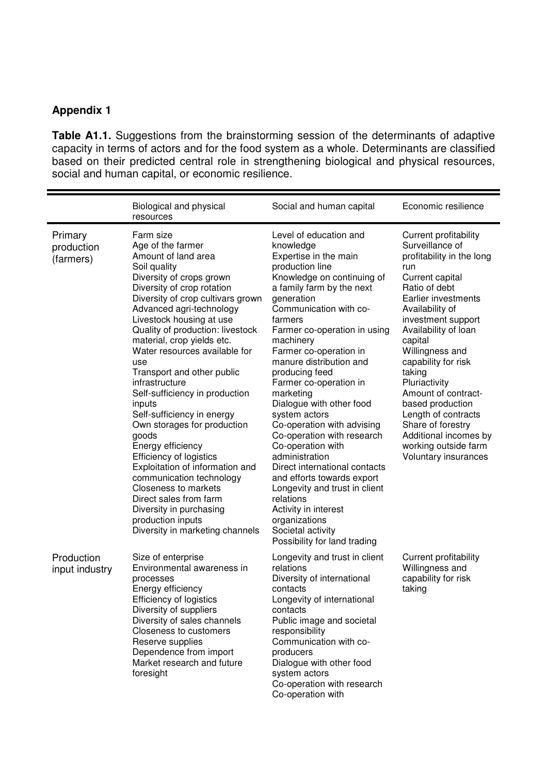## **Appendix 1**

**Table A1.1.** Suggestions from the brainstorming session of the determinants of adaptive capacity in terms of actors and for the food system as a whole. Determinants are classified based on their predicted central role in strengthening biological and physical resources, social and human capital, or economic resilience.

|                                    | Biological and physical<br>resources                                                                                                                                                                                                                                                                                                                                                                                                                                                                                                                                                                                                                                                                                                                                       | Social and human capital                                                                                                                                                                                                                                                                                                                                                                                                                                                                                                                                                                                                                                                                                            | Economic resilience                                                                                                                                                                                                                                                                                                                                                                                                                                      |
|------------------------------------|----------------------------------------------------------------------------------------------------------------------------------------------------------------------------------------------------------------------------------------------------------------------------------------------------------------------------------------------------------------------------------------------------------------------------------------------------------------------------------------------------------------------------------------------------------------------------------------------------------------------------------------------------------------------------------------------------------------------------------------------------------------------------|---------------------------------------------------------------------------------------------------------------------------------------------------------------------------------------------------------------------------------------------------------------------------------------------------------------------------------------------------------------------------------------------------------------------------------------------------------------------------------------------------------------------------------------------------------------------------------------------------------------------------------------------------------------------------------------------------------------------|----------------------------------------------------------------------------------------------------------------------------------------------------------------------------------------------------------------------------------------------------------------------------------------------------------------------------------------------------------------------------------------------------------------------------------------------------------|
| Primary<br>production<br>(farmers) | Farm size<br>Age of the farmer<br>Amount of land area<br>Soil quality<br>Diversity of crops grown<br>Diversity of crop rotation<br>Diversity of crop cultivars grown<br>Advanced agri-technology<br>Livestock housing at use<br>Quality of production: livestock<br>material, crop yields etc.<br>Water resources available for<br>use<br>Transport and other public<br>infrastructure<br>Self-sufficiency in production<br>inputs<br>Self-sufficiency in energy<br>Own storages for production<br>goods<br>Energy efficiency<br><b>Efficiency of logistics</b><br>Exploitation of information and<br>communication technology<br><b>Closeness to markets</b><br>Direct sales from farm<br>Diversity in purchasing<br>production inputs<br>Diversity in marketing channels | Level of education and<br>knowledge<br>Expertise in the main<br>production line<br>Knowledge on continuing of<br>a family farm by the next<br>generation<br>Communication with co-<br>farmers<br>Farmer co-operation in using<br>machinery<br>Farmer co-operation in<br>manure distribution and<br>producing feed<br>Farmer co-operation in<br>marketing<br>Dialogue with other food<br>system actors<br>Co-operation with advising<br>Co-operation with research<br>Co-operation with<br>administration<br>Direct international contacts<br>and efforts towards export<br>Longevity and trust in client<br>relations<br>Activity in interest<br>organizations<br>Societal activity<br>Possibility for land trading | Current profitability<br>Surveillance of<br>profitability in the long<br>run<br>Current capital<br>Ratio of debt<br>Earlier investments<br>Availability of<br>investment support<br>Availability of loan<br>capital<br>Willingness and<br>capability for risk<br>taking<br>Pluriactivity<br>Amount of contract-<br>based production<br>Length of contracts<br>Share of forestry<br>Additional incomes by<br>working outside farm<br>Voluntary insurances |
| Production<br>input industry       | Size of enterprise<br>Environmental awareness in<br>processes<br>Energy efficiency<br><b>Efficiency of logistics</b><br>Diversity of suppliers<br>Diversity of sales channels<br><b>Closeness to customers</b><br>Reserve supplies<br>Dependence from import<br>Market research and future<br>foresight                                                                                                                                                                                                                                                                                                                                                                                                                                                                    | Longevity and trust in client<br>relations<br>Diversity of international<br>contacts<br>Longevity of international<br>contacts<br>Public image and societal<br>responsibility<br>Communication with co-<br>producers<br>Dialogue with other food<br>system actors<br>Co-operation with research<br>Co-operation with                                                                                                                                                                                                                                                                                                                                                                                                | <b>Current profitability</b><br>Willingness and<br>capability for risk<br>taking                                                                                                                                                                                                                                                                                                                                                                         |